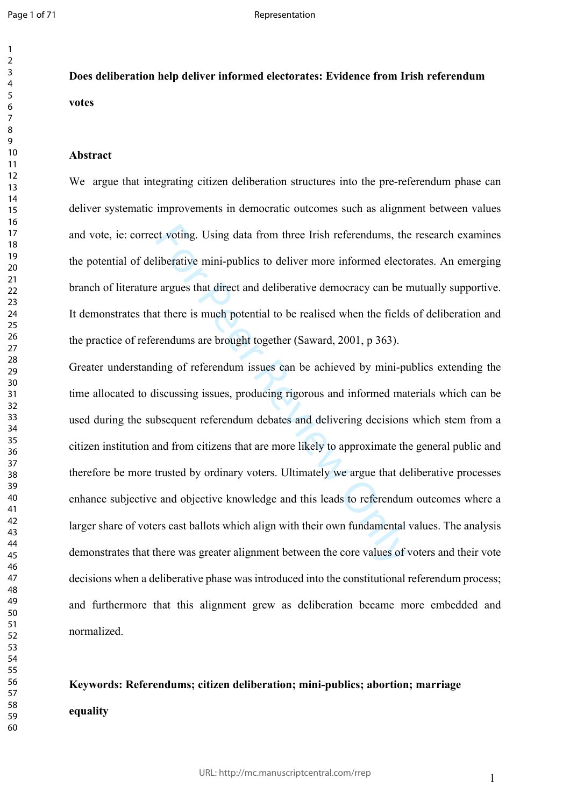$\mathbf{1}$  $\overline{2}$  $\overline{3}$  $\overline{4}$  $\overline{7}$ 

### **Abstract**

We argue that integrating citizen deliberation structures into the pre-referendum phase can deliver systematic improvements in democratic outcomes such as alignment between values and vote, ie: correct voting. Using data from three Irish referendums, the research examines the potential of deliberative mini-publics to deliver more informed electorates. An emerging branch of literature argues that direct and deliberative democracy can be mutually supportive. It demonstrates that there is much potential to be realised when the fields of deliberation and the practice of referendums are brought together (Saward, 2001, p 363).

conting. Using data from three Irish referendums, the liberative mini-publics to deliver more informed elected argues that direct and deliberative democracy can be ret there is much potential to be realised when the fields Greater understanding of referendum issues can be achieved by mini-publics extending the time allocated to discussing issues, producing rigorous and informed materials which can be used during the subsequent referendum debates and delivering decisions which stem from a citizen institution and from citizens that are more likely to approximate the general public and therefore be more trusted by ordinary voters. Ultimately we argue that deliberative processes enhance subjective and objective knowledge and this leads to referendum outcomes where a larger share of voters cast ballots which align with their own fundamental values. The analysis demonstrates that there was greater alignment between the core values of voters and their vote decisions when a deliberative phase was introduced into the constitutional referendum process; and furthermore that this alignment grew as deliberation became more embedded and normalized.

# **Keywords: Referendums; citizen deliberation; mini-publics; abortion; marriage equality**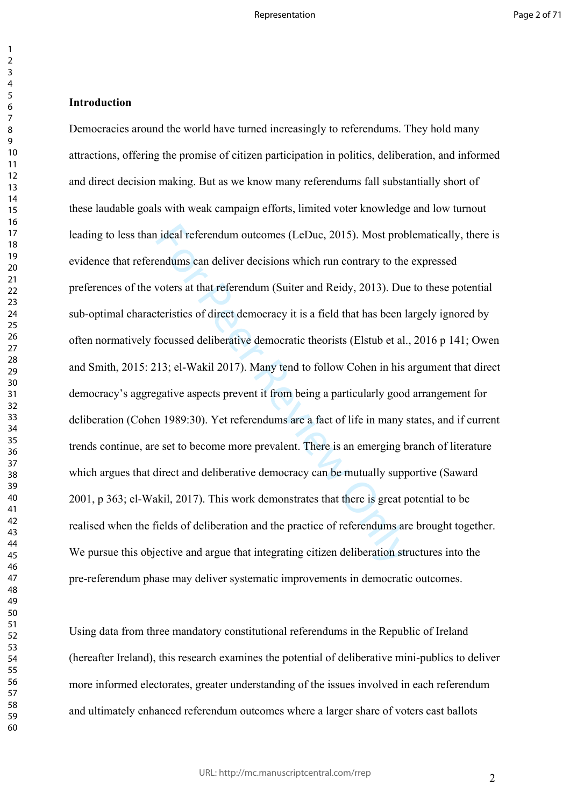### **Introduction**

ideal referendum outcomes (LeDuc, 2015). Most prob<br>endums can deliver decisions which run contrary to the<br>voters at that referendum (Suiter and Reidy, 2013). Due<br>teristics of direct democracy it is a field that has been l: Democracies around the world have turned increasingly to referendums. They hold many attractions, offering the promise of citizen participation in politics, deliberation, and informed and direct decision making. But as we know many referendums fall substantially short of these laudable goals with weak campaign efforts, limited voter knowledge and low turnout leading to less than ideal referendum outcomes (LeDuc, 2015). Most problematically, there is evidence that referendums can deliver decisions which run contrary to the expressed preferences of the voters at that referendum (Suiter and Reidy, 2013). Due to these potential sub-optimal characteristics of direct democracy it is a field that has been largely ignored by often normatively focussed deliberative democratic theorists (Elstub et al., 2016 p 141; Owen and Smith, 2015: 213; el-Wakil 2017). Many tend to follow Cohen in his argument that direct democracy's aggregative aspects prevent it from being a particularly good arrangement for deliberation (Cohen 1989:30). Yet referendums are a fact of life in many states, and if current trends continue, are set to become more prevalent. There is an emerging branch of literature which argues that direct and deliberative democracy can be mutually supportive (Saward 2001, p 363; el-Wakil, 2017). This work demonstrates that there is great potential to be realised when the fields of deliberation and the practice of referendums are brought together. We pursue this objective and argue that integrating citizen deliberation structures into the pre-referendum phase may deliver systematic improvements in democratic outcomes.

Using data from three mandatory constitutional referendums in the Republic of Ireland (hereafter Ireland), this research examines the potential of deliberative mini-publics to deliver more informed electorates, greater understanding of the issues involved in each referendum and ultimately enhanced referendum outcomes where a larger share of voters cast ballots

 $\mathbf{1}$  $\overline{2}$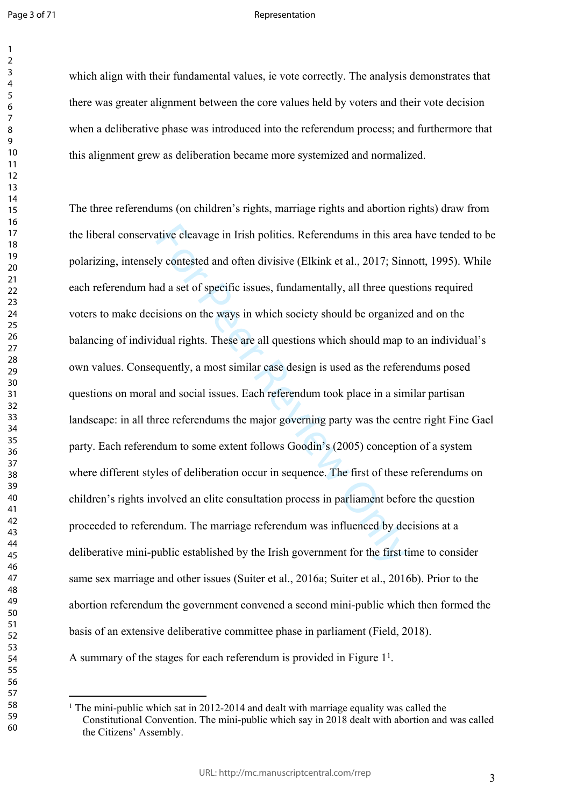#### Representation

which align with their fundamental values, ie vote correctly. The analysis demonstrates that there was greater alignment between the core values held by voters and their vote decision when a deliberative phase was introduced into the referendum process; and furthermore that this alignment grew as deliberation became more systemized and normalized.

ative cleavage in Irish politics. Referendums in this aready contested and often divisive (Elkink et al., 2017; Sind a set of specific issues, fundamentally, all three questions on the ways in which society should be organ The three referendums (on children's rights, marriage rights and abortion rights) draw from the liberal conservative cleavage in Irish politics. Referendums in this area have tended to be polarizing, intensely contested and often divisive (Elkink et al., 2017; Sinnott, 1995). While each referendum had a set of specific issues, fundamentally, all three questions required voters to make decisions on the ways in which society should be organized and on the balancing of individual rights. These are all questions which should map to an individual's own values. Consequently, a most similar case design is used as the referendums posed questions on moral and social issues. Each referendum took place in a similar partisan landscape: in all three referendums the major governing party was the centre right Fine Gael party. Each referendum to some extent follows Goodin's (2005) conception of a system where different styles of deliberation occur in sequence. The first of these referendums on children's rights involved an elite consultation process in parliament before the question proceeded to referendum. The marriage referendum was influenced by decisions at a deliberative mini-public established by the Irish government for the first time to consider same sex marriage and other issues (Suiter et al., 2016a; Suiter et al., 2016b). Prior to the abortion referendum the government convened a second mini-public which then formed the basis of an extensive deliberative committee phase in parliament (Field, 2018). A summary of the stages for each referendum is provided in Figure 1<sup>1</sup>.

<sup>&</sup>lt;sup>1</sup> The mini-public which sat in 2012-2014 and dealt with marriage equality was called the Constitutional Convention. The mini-public which say in 2018 dealt with abortion and was called the Citizens' Assembly.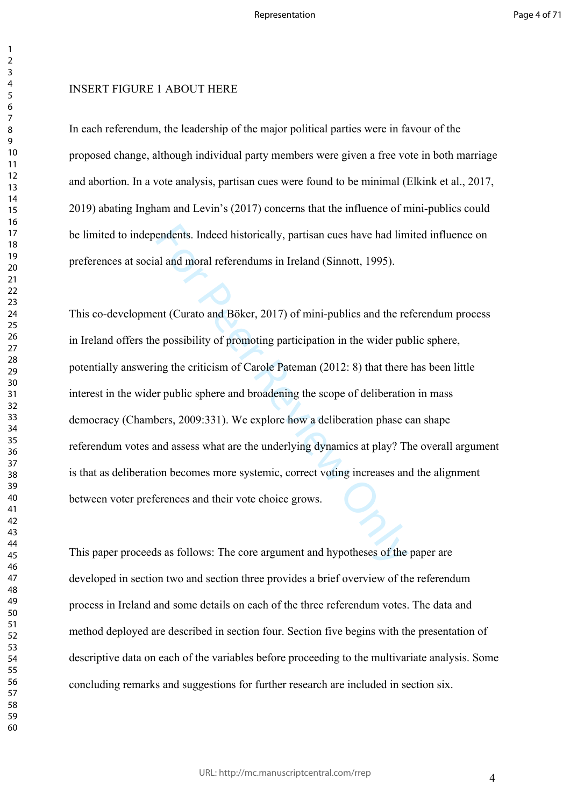### INSERT FIGURE 1 ABOUT HERE

In each referendum, the leadership of the major political parties were in favour of the proposed change, although individual party members were given a free vote in both marriage and abortion. In a vote analysis, partisan cues were found to be minimal (Elkink et al., 2017, 2019) abating Ingham and Levin's (2017) concerns that the influence of mini-publics could be limited to independents. Indeed historically, partisan cues have had limited influence on preferences at social and moral referendums in Ireland (Sinnott, 1995).

endents. Indeed historically, partisan cues have had lim<br>al and moral referendums in Ireland (Sinnott, 1995).<br>that (Curato and Böker, 2017) of mini-publics and the re<br>e possibility of promoting participation in the wider p This co-development (Curato and Böker, 2017) of mini-publics and the referendum process in Ireland offers the possibility of promoting participation in the wider public sphere, potentially answering the criticism of Carole Pateman (2012: 8) that there has been little interest in the wider public sphere and broadening the scope of deliberation in mass democracy (Chambers, 2009:331). We explore how a deliberation phase can shape referendum votes and assess what are the underlying dynamics at play? The overall argument is that as deliberation becomes more systemic, correct voting increases and the alignment between voter preferences and their vote choice grows.

This paper proceeds as follows: The core argument and hypotheses of the paper are developed in section two and section three provides a brief overview of the referendum process in Ireland and some details on each of the three referendum votes. The data and method deployed are described in section four. Section five begins with the presentation of descriptive data on each of the variables before proceeding to the multivariate analysis. Some concluding remarks and suggestions for further research are included in section six.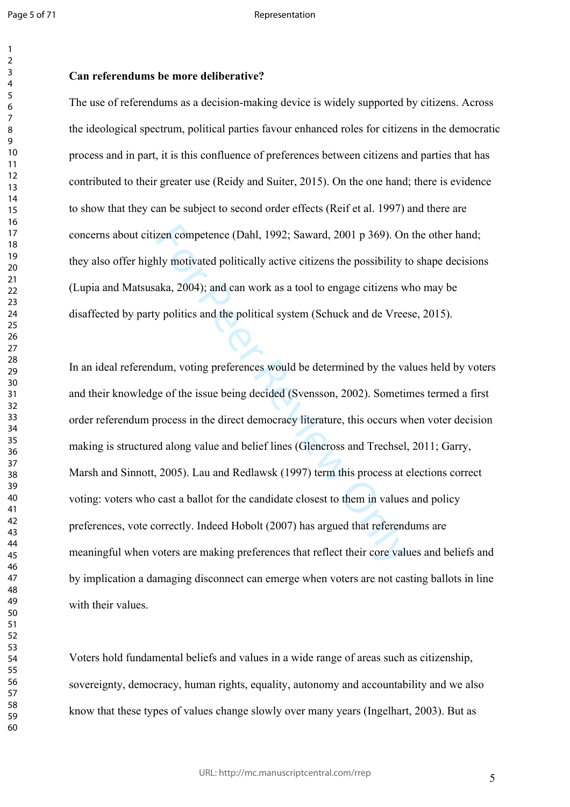Page 5 of 71

 $\mathbf{1}$ 

#### Representation

### **Can referendums be more deliberative?**

The use of referendums as a decision-making device is widely supported by citizens. Across the ideological spectrum, political parties favour enhanced roles for citizens in the democratic process and in part, it is this confluence of preferences between citizens and parties that has contributed to their greater use (Reidy and Suiter, 2015). On the one hand; there is evidence to show that they can be subject to second order effects (Reif et al. 1997) and there are concerns about citizen competence (Dahl, 1992; Saward, 2001 p 369). On the other hand; they also offer highly motivated politically active citizens the possibility to shape decisions (Lupia and Matsusaka, 2004); and can work as a tool to engage citizens who may be disaffected by party politics and the political system (Schuck and de Vreese, 2015).

zen competence (Dahl, 1992; Saward, 2001 p 369). On<br>hly motivated politically active citizens the possibility to<br>aka, 2004); and can work as a tool to engage citizens w<br>y politics and the political system (Schuck and de Vr In an ideal referendum, voting preferences would be determined by the values held by voters and their knowledge of the issue being decided (Svensson, 2002). Sometimes termed a first order referendum process in the direct democracy literature, this occurs when voter decision making is structured along value and belief lines (Glencross and Trechsel, 2011; Garry, Marsh and Sinnott, 2005). Lau and Redlawsk (1997) term this process at elections correct voting: voters who cast a ballot for the candidate closest to them in values and policy preferences, vote correctly. Indeed Hobolt (2007) has argued that referendums are meaningful when voters are making preferences that reflect their core values and beliefs and by implication a damaging disconnect can emerge when voters are not casting ballots in line with their values.

Voters hold fundamental beliefs and values in a wide range of areas such as citizenship, sovereignty, democracy, human rights, equality, autonomy and accountability and we also know that these types of values change slowly over many years (Ingelhart, 2003). But as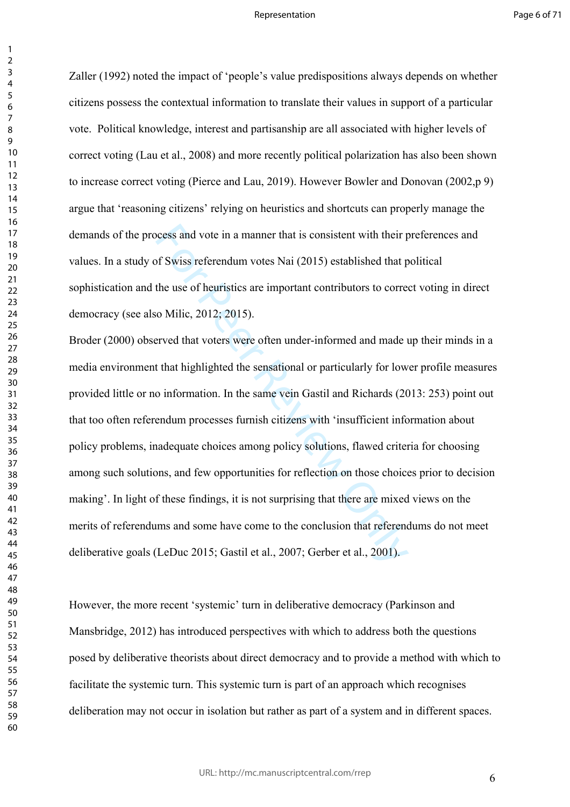$\mathbf{1}$  $\overline{2}$  $\overline{3}$  $\overline{4}$  $\overline{7}$ 

Zaller (1992) noted the impact of 'people's value predispositions always depends on whether citizens possess the contextual information to translate their values in support of a particular vote. Political knowledge, interest and partisanship are all associated with higher levels of correct voting (Lau et al., 2008) and more recently political polarization has also been shown to increase correct voting (Pierce and Lau, 2019). However Bowler and Donovan (2002,p 9) argue that 'reasoning citizens' relying on heuristics and shortcuts can properly manage the demands of the process and vote in a manner that is consistent with their preferences and values. In a study of Swiss referendum votes Nai (2015) established that political sophistication and the use of heuristics are important contributors to correct voting in direct democracy (see also Milic, 2012; 2015).

ocess and vote in a manner that is consistent with their polynomials of Swiss referendum votes Nai (2015) established that pthe use of heuristics are important contributors to corred of Milic, 2012; 2015).<br>
First that vote Broder (2000) observed that voters were often under-informed and made up their minds in a media environment that highlighted the sensational or particularly for lower profile measures provided little or no information. In the same vein Gastil and Richards (2013: 253) point out that too often referendum processes furnish citizens with 'insufficient information about policy problems, inadequate choices among policy solutions, flawed criteria for choosing among such solutions, and few opportunities for reflection on those choices prior to decision making'. In light of these findings, it is not surprising that there are mixed views on the merits of referendums and some have come to the conclusion that referendums do not meet deliberative goals (LeDuc 2015; Gastil et al., 2007; Gerber et al., 2001).

However, the more recent 'systemic' turn in deliberative democracy (Parkinson and Mansbridge, 2012) has introduced perspectives with which to address both the questions posed by deliberative theorists about direct democracy and to provide a method with which to facilitate the systemic turn. This systemic turn is part of an approach which recognises deliberation may not occur in isolation but rather as part of a system and in different spaces.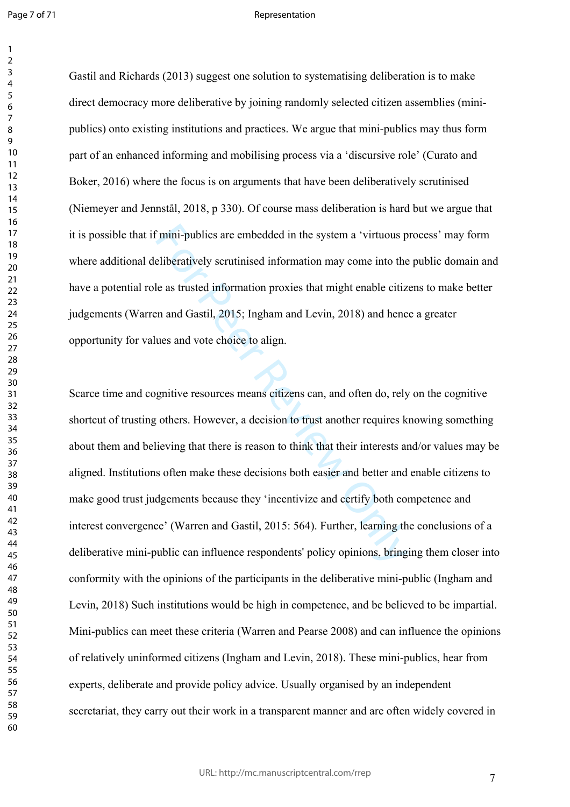### Representation

Gastil and Richards (2013) suggest one solution to systematising deliberation is to make direct democracy more deliberative by joining randomly selected citizen assemblies (minipublics) onto existing institutions and practices. We argue that mini-publics may thus form part of an enhanced informing and mobilising process via a 'discursive role' (Curato and Boker, 2016) where the focus is on arguments that have been deliberatively scrutinised (Niemeyer and Jennstål, 2018, p 330). Of course mass deliberation is hard but we argue that it is possible that if mini-publics are embedded in the system a 'virtuous process' may form where additional deliberatively scrutinised information may come into the public domain and have a potential role as trusted information proxies that might enable citizens to make better judgements (Warren and Gastil, 2015; Ingham and Levin, 2018) and hence a greater opportunity for values and vote choice to align.

mini-publics are embedded in the system a 'virtuous peliberatively scrutinised information may come into the le as trusted information proxies that might enable citizen and Gastil, 2015; Ingham and Levin, 2018) and hence a Scarce time and cognitive resources means citizens can, and often do, rely on the cognitive shortcut of trusting others. However, a decision to trust another requires knowing something about them and believing that there is reason to think that their interests and/or values may be aligned. Institutions often make these decisions both easier and better and enable citizens to make good trust judgements because they 'incentivize and certify both competence and interest convergence' (Warren and Gastil, 2015: 564). Further, learning the conclusions of a deliberative mini-public can influence respondents' policy opinions, bringing them closer into conformity with the opinions of the participants in the deliberative mini-public (Ingham and Levin, 2018) Such institutions would be high in competence, and be believed to be impartial. Mini-publics can meet these criteria (Warren and Pearse 2008) and can influence the opinions of relatively uninformed citizens (Ingham and Levin, 2018). These mini-publics, hear from experts, deliberate and provide policy advice. Usually organised by an independent secretariat, they carry out their work in a transparent manner and are often widely covered in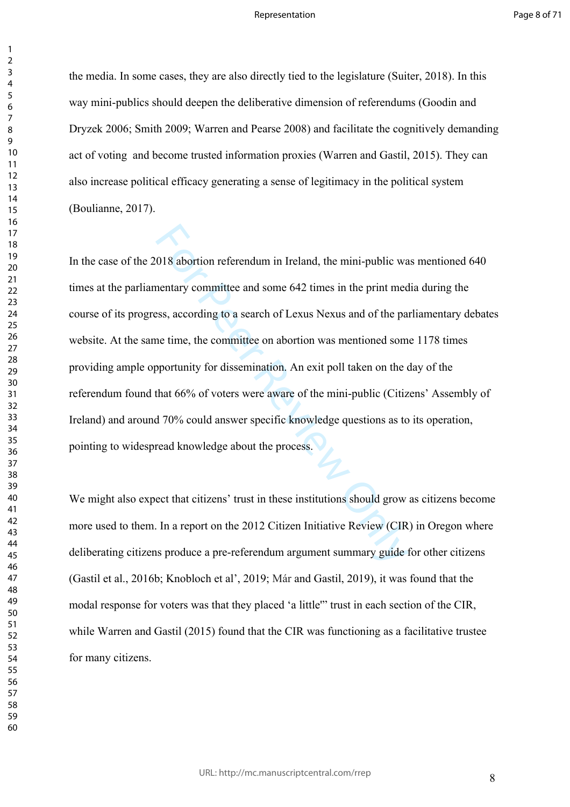the media. In some cases, they are also directly tied to the legislature (Suiter, 2018). In this way mini-publics should deepen the deliberative dimension of referendums (Goodin and Dryzek 2006; Smith 2009; Warren and Pearse 2008) and facilitate the cognitively demanding act of voting and become trusted information proxies (Warren and Gastil, 2015). They can also increase political efficacy generating a sense of legitimacy in the political system (Boulianne, 2017).

018 abortion referendum in Ireland, the mini-public was mentary committee and some 642 times in the print med<br>sess, according to a search of Lexus Nexus and of the pa<br>ne time, the committee on abortion was mentioned som<br>po In the case of the 2018 abortion referendum in Ireland, the mini-public was mentioned 640 times at the parliamentary committee and some 642 times in the print media during the course of its progress, according to a search of Lexus Nexus and of the parliamentary debates website. At the same time, the committee on abortion was mentioned some 1178 times providing ample opportunity for dissemination. An exit poll taken on the day of the referendum found that 66% of voters were aware of the mini-public (Citizens' Assembly of Ireland) and around 70% could answer specific knowledge questions as to its operation, pointing to widespread knowledge about the process.

We might also expect that citizens' trust in these institutions should grow as citizens become more used to them. In a report on the 2012 Citizen Initiative Review (CIR) in Oregon where deliberating citizens produce a pre-referendum argument summary guide for other citizens (Gastil et al., 2016b; Knobloch et al', 2019; Már and Gastil, 2019), it was found that the modal response for voters was that they placed 'a little'" trust in each section of the CIR, while Warren and Gastil (2015) found that the CIR was functioning as a facilitative trustee for many citizens.

 $\mathbf{1}$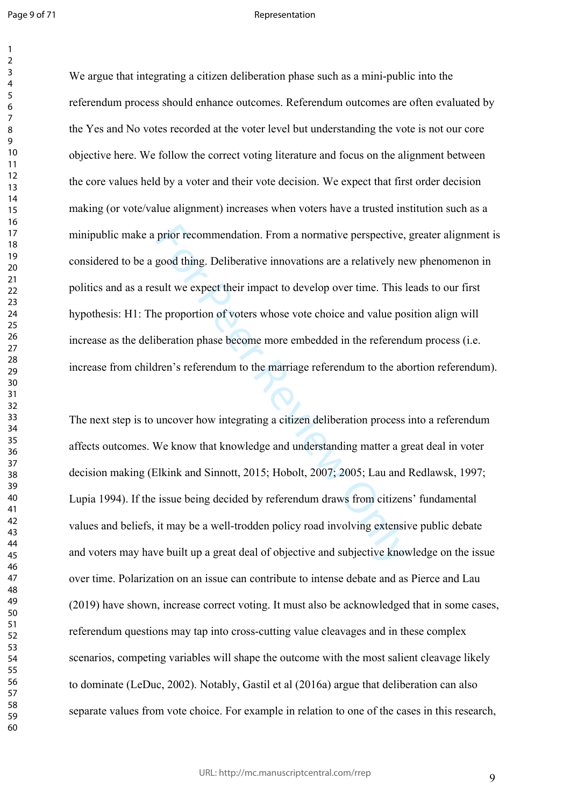### Representation

We argue that integrating a citizen deliberation phase such as a mini-public into the referendum process should enhance outcomes. Referendum outcomes are often evaluated by the Yes and No votes recorded at the voter level but understanding the vote is not our core objective here. We follow the correct voting literature and focus on the alignment between the core values held by a voter and their vote decision. We expect that first order decision making (or vote/value alignment) increases when voters have a trusted institution such as a minipublic make a prior recommendation. From a normative perspective, greater alignment is considered to be a good thing. Deliberative innovations are a relatively new phenomenon in politics and as a result we expect their impact to develop over time. This leads to our first hypothesis: H1: The proportion of voters whose vote choice and value position align will increase as the deliberation phase become more embedded in the referendum process (i.e. increase from children's referendum to the marriage referendum to the abortion referendum).

prior recommendation. From a normative perspective,<br>good thing. Deliberative innovations are a relatively ne<br>sult we expect their impact to develop over time. This le<br>reproportion of voters whose vote choice and value pos<br> The next step is to uncover how integrating a citizen deliberation process into a referendum affects outcomes. We know that knowledge and understanding matter a great deal in voter decision making (Elkink and Sinnott, 2015; Hobolt, 2007; 2005; Lau and Redlawsk, 1997; Lupia 1994). If the issue being decided by referendum draws from citizens' fundamental values and beliefs, it may be a well-trodden policy road involving extensive public debate and voters may have built up a great deal of objective and subjective knowledge on the issue over time. Polarization on an issue can contribute to intense debate and as Pierce and Lau (2019) have shown, increase correct voting. It must also be acknowledged that in some cases, referendum questions may tap into cross-cutting value cleavages and in these complex scenarios, competing variables will shape the outcome with the most salient cleavage likely to dominate (LeDuc, 2002). Notably, Gastil et al (2016a) argue that deliberation can also separate values from vote choice. For example in relation to one of the cases in this research,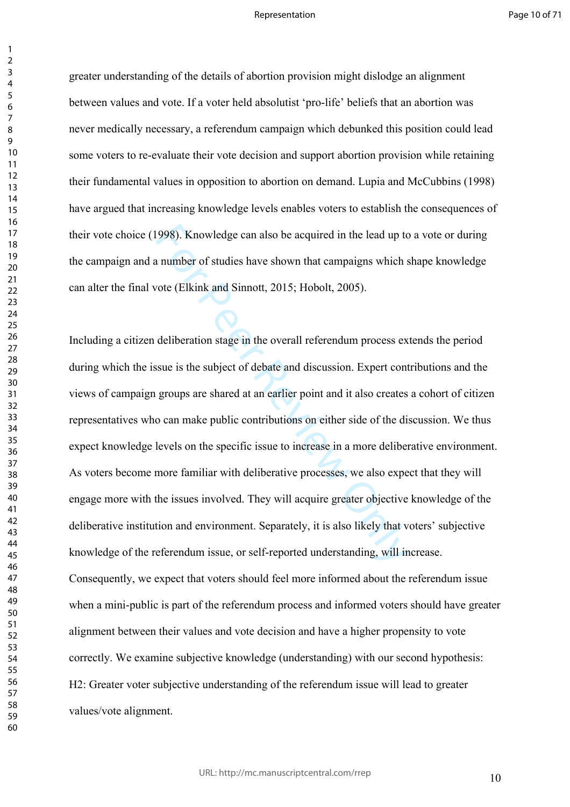$\mathbf{1}$ 

greater understanding of the details of abortion provision might dislodge an alignment between values and vote. If a voter held absolutist 'pro-life' beliefs that an abortion was never medically necessary, a referendum campaign which debunked this position could lead some voters to re-evaluate their vote decision and support abortion provision while retaining their fundamental values in opposition to abortion on demand. Lupia and McCubbins (1998) have argued that increasing knowledge levels enables voters to establish the consequences of their vote choice (1998). Knowledge can also be acquired in the lead up to a vote or during the campaign and a number of studies have shown that campaigns which shape knowledge can alter the final vote (Elkink and Sinnott, 2015; Hobolt, 2005).

998). Knowledge can also be acquired in the lead up to number of studies have shown that campaigns which sote (Elkink and Sinnott, 2015; Hobolt, 2005).<br>deliberation stage in the overall referendum process ex<br>sue is the sub Including a citizen deliberation stage in the overall referendum process extends the period during which the issue is the subject of debate and discussion. Expert contributions and the views of campaign groups are shared at an earlier point and it also creates a cohort of citizen representatives who can make public contributions on either side of the discussion. We thus expect knowledge levels on the specific issue to increase in a more deliberative environment. As voters become more familiar with deliberative processes, we also expect that they will engage more with the issues involved. They will acquire greater objective knowledge of the deliberative institution and environment. Separately, it is also likely that voters' subjective knowledge of the referendum issue, or self-reported understanding, will increase. Consequently, we expect that voters should feel more informed about the referendum issue when a mini-public is part of the referendum process and informed voters should have greater alignment between their values and vote decision and have a higher propensity to vote correctly. We examine subjective knowledge (understanding) with our second hypothesis: H2: Greater voter subjective understanding of the referendum issue will lead to greater values/vote alignment.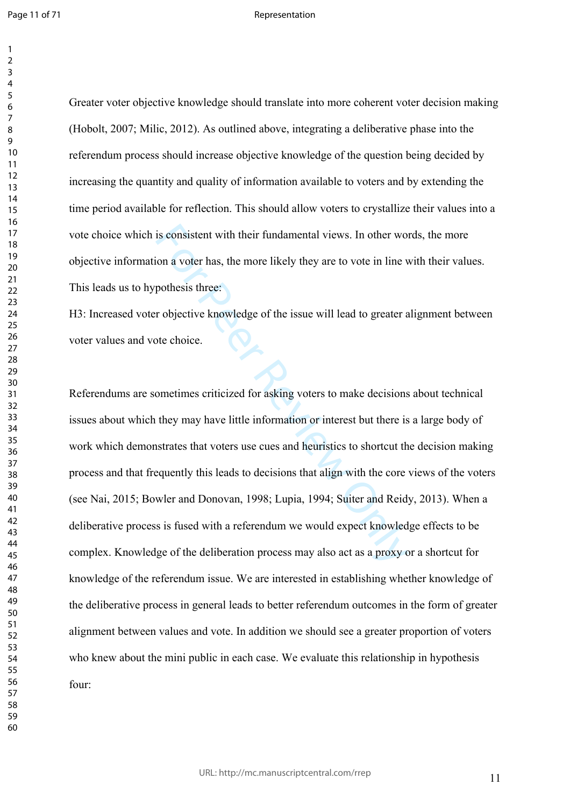#### Representation

Greater voter objective knowledge should translate into more coherent voter decision making (Hobolt, 2007; Milic, 2012). As outlined above, integrating a deliberative phase into the referendum process should increase objective knowledge of the question being decided by increasing the quantity and quality of information available to voters and by extending the time period available for reflection. This should allow voters to crystallize their values into a vote choice which is consistent with their fundamental views. In other words, the more objective information a voter has, the more likely they are to vote in line with their values. This leads us to hypothesis three:

H3: Increased voter objective knowledge of the issue will lead to greater alignment between voter values and vote choice.

is consistent with their fundamental views. In other wordtoon a voter has, the more likely they are to vote in line v<br>pothesis three.<br>The objective knowledge of the issue will lead to greater a<br>stee choice.<br>One choice.<br>One Referendums are sometimes criticized for asking voters to make decisions about technical issues about which they may have little information or interest but there is a large body of work which demonstrates that voters use cues and heuristics to shortcut the decision making process and that frequently this leads to decisions that align with the core views of the voters (see Nai, 2015; Bowler and Donovan, 1998; Lupia, 1994; Suiter and Reidy, 2013). When a deliberative process is fused with a referendum we would expect knowledge effects to be complex. Knowledge of the deliberation process may also act as a proxy or a shortcut for knowledge of the referendum issue. We are interested in establishing whether knowledge of the deliberative process in general leads to better referendum outcomes in the form of greater alignment between values and vote. In addition we should see a greater proportion of voters who knew about the mini public in each case. We evaluate this relationship in hypothesis four: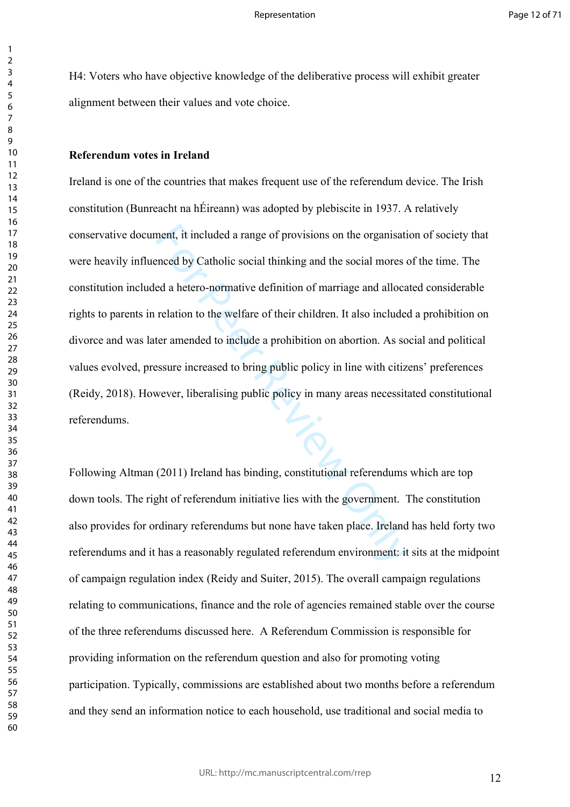H4: Voters who have objective knowledge of the deliberative process will exhibit greater alignment between their values and vote choice.

### **Referendum votes in Ireland**

ment, it included a range of provisions on the organisati<br>
enced by Catholic social thinking and the social mores of<br>
ed a hetero-normative definition of marriage and alloca<br>
relation to the welfare of their children. It a Ireland is one of the countries that makes frequent use of the referendum device. The Irish constitution (Bunreacht na hÉireann) was adopted by plebiscite in 1937. A relatively conservative document, it included a range of provisions on the organisation of society that were heavily influenced by Catholic social thinking and the social mores of the time. The constitution included a hetero-normative definition of marriage and allocated considerable rights to parents in relation to the welfare of their children. It also included a prohibition on divorce and was later amended to include a prohibition on abortion. As social and political values evolved, pressure increased to bring public policy in line with citizens' preferences (Reidy, 2018). However, liberalising public policy in many areas necessitated constitutional referendums.

Following Altman (2011) Ireland has binding, constitutional referendums which are top down tools. The right of referendum initiative lies with the government. The constitution also provides for ordinary referendums but none have taken place. Ireland has held forty two referendums and it has a reasonably regulated referendum environment: it sits at the midpoint of campaign regulation index (Reidy and Suiter, 2015). The overall campaign regulations relating to communications, finance and the role of agencies remained stable over the course of the three referendums discussed here. A Referendum Commission is responsible for providing information on the referendum question and also for promoting voting participation. Typically, commissions are established about two months before a referendum and they send an information notice to each household, use traditional and social media to

 $\mathbf{1}$  $\overline{2}$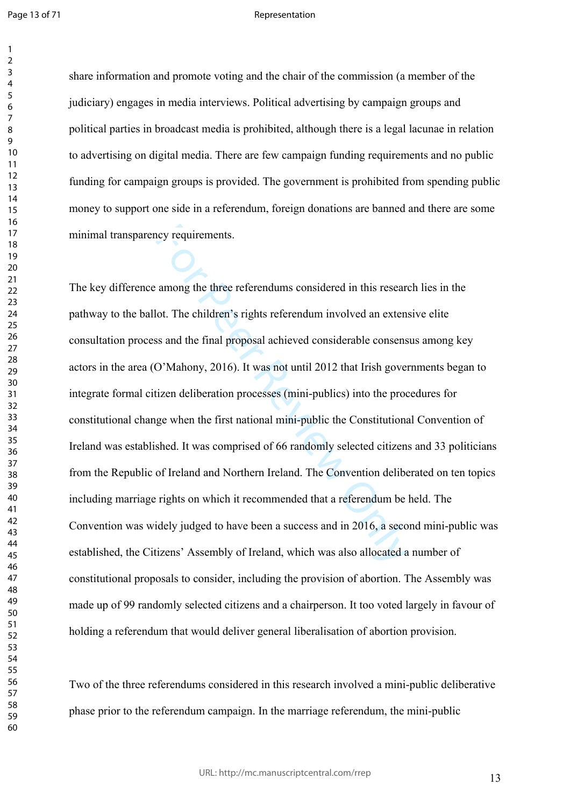#### Representation

share information and promote voting and the chair of the commission (a member of the judiciary) engages in media interviews. Political advertising by campaign groups and political parties in broadcast media is prohibited, although there is a legal lacunae in relation to advertising on digital media. There are few campaign funding requirements and no public funding for campaign groups is provided. The government is prohibited from spending public money to support one side in a referendum, foreign donations are banned and there are some minimal transparency requirements.

not per alliance and the ends of the search of the search of the children's rights referendum involved an extent of the children's rights referendum involved an extent ss and the final proposal achieved considerable consen The key difference among the three referendums considered in this research lies in the pathway to the ballot. The children's rights referendum involved an extensive elite consultation process and the final proposal achieved considerable consensus among key actors in the area (O'Mahony, 2016). It was not until 2012 that Irish governments began to integrate formal citizen deliberation processes (mini-publics) into the procedures for constitutional change when the first national mini-public the Constitutional Convention of Ireland was established. It was comprised of 66 randomly selected citizens and 33 politicians from the Republic of Ireland and Northern Ireland. The Convention deliberated on ten topics including marriage rights on which it recommended that a referendum be held. The Convention was widely judged to have been a success and in 2016, a second mini-public was established, the Citizens' Assembly of Ireland, which was also allocated a number of constitutional proposals to consider, including the provision of abortion. The Assembly was made up of 99 randomly selected citizens and a chairperson. It too voted largely in favour of holding a referendum that would deliver general liberalisation of abortion provision.

Two of the three referendums considered in this research involved a mini-public deliberative phase prior to the referendum campaign. In the marriage referendum, the mini-public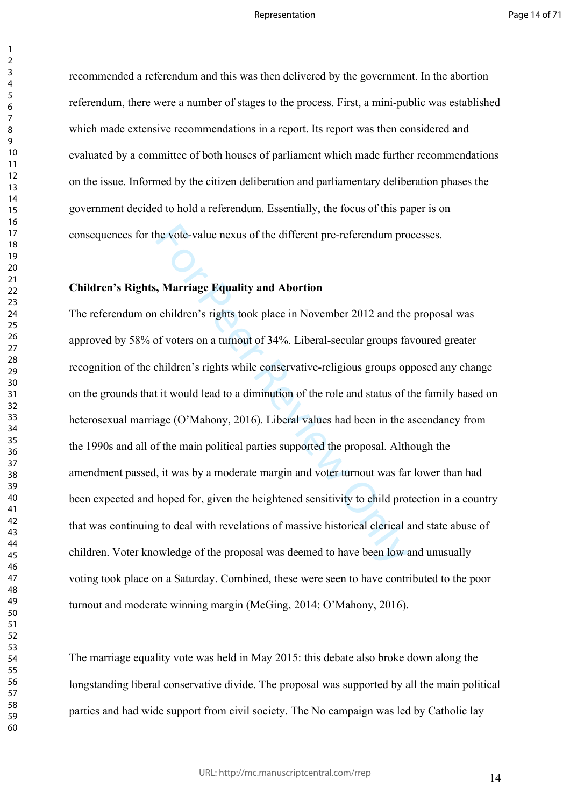recommended a referendum and this was then delivered by the government. In the abortion referendum, there were a number of stages to the process. First, a mini-public was established which made extensive recommendations in a report. Its report was then considered and evaluated by a committee of both houses of parliament which made further recommendations on the issue. Informed by the citizen deliberation and parliamentary deliberation phases the government decided to hold a referendum. Essentially, the focus of this paper is on consequences for the vote-value nexus of the different pre-referendum processes.

### **Children's Rights, Marriage Equality and Abortion**

 $\mathbf{1}$  $\overline{2}$  $\overline{3}$  $\overline{4}$  $\overline{7}$ 

he vote-value nexus of the different pre-referendum pro<br> **Marriage Equality and Abortion**<br>
children's rights took place in November 2012 and the<br>
of voters on a turnout of 34%. Liberal-secular groups fa<br>
children's rights The referendum on children's rights took place in November 2012 and the proposal was approved by 58% of voters on a turnout of 34%. Liberal-secular groups favoured greater recognition of the children's rights while conservative-religious groups opposed any change on the grounds that it would lead to a diminution of the role and status of the family based on heterosexual marriage (O'Mahony, 2016). Liberal values had been in the ascendancy from the 1990s and all of the main political parties supported the proposal. Although the amendment passed, it was by a moderate margin and voter turnout was far lower than had been expected and hoped for, given the heightened sensitivity to child protection in a country that was continuing to deal with revelations of massive historical clerical and state abuse of children. Voter knowledge of the proposal was deemed to have been low and unusually voting took place on a Saturday. Combined, these were seen to have contributed to the poor turnout and moderate winning margin (McGing, 2014; O'Mahony, 2016).

The marriage equality vote was held in May 2015: this debate also broke down along the longstanding liberal conservative divide. The proposal was supported by all the main political parties and had wide support from civil society. The No campaign was led by Catholic lay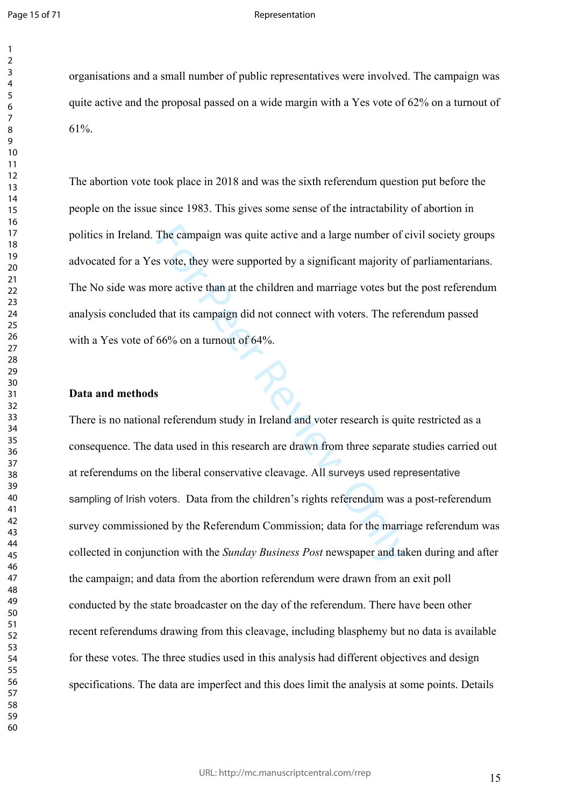$\mathbf{1}$  $\overline{2}$  $\overline{3}$ 

#### Representation

 

organisations and a small number of public representatives were involved. The campaign was quite active and the proposal passed on a wide margin with a Yes vote of 62% on a turnout of 61%.

The abortion vote took place in 2018 and was the sixth referendum question put before the people on the issue since 1983. This gives some sense of the intractability of abortion in politics in Ireland. The campaign was quite active and a large number of civil society groups advocated for a Yes vote, they were supported by a significant majority of parliamentarians. The No side was more active than at the children and marriage votes but the post referendum analysis concluded that its campaign did not connect with voters. The referendum passed with a Yes vote of 66% on a turnout of 64%.

### **Data and methods**

The campaign was quite active and a large number of c<br>s vote, they were supported by a significant majority of<br>ore active than at the children and marriage votes but th<br>that its campaign did not connect with voters. The re There is no national referendum study in Ireland and voter research is quite restricted as a consequence. The data used in this research are drawn from three separate studies carried out at referendums on the liberal conservative cleavage. All surveys used representative sampling of Irish voters. Data from the children's rights referendum was a post-referendum survey commissioned by the Referendum Commission; data for the marriage referendum was collected in conjunction with the *Sunday Business Post* newspaper and taken during and after the campaign; and data from the abortion referendum were drawn from an exit poll conducted by the state broadcaster on the day of the referendum. There have been other recent referendums drawing from this cleavage, including blasphemy but no data is available for these votes. The three studies used in this analysis had different objectives and design specifications. The data are imperfect and this does limit the analysis at some points. Details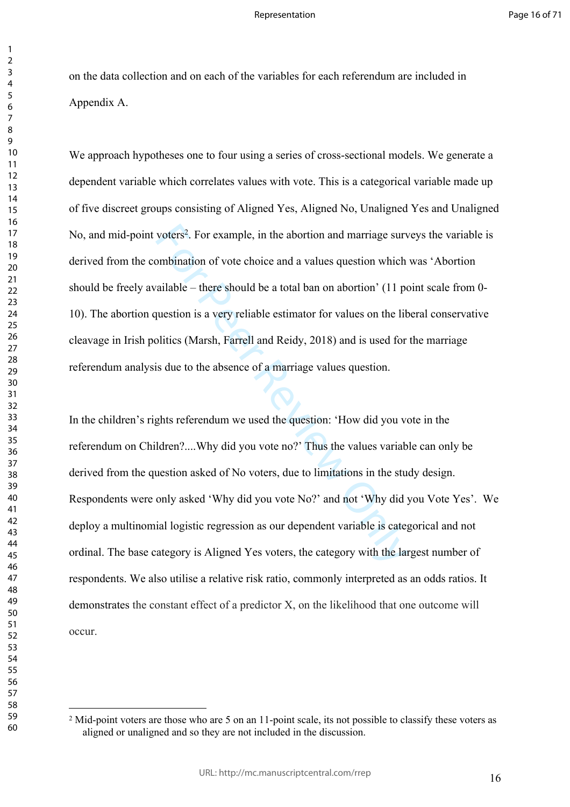on the data collection and on each of the variables for each referendum are included in Appendix A.

We approach hypotheses one to four using a series of cross-sectional models. We generate a dependent variable which correlates values with vote. This is a categorical variable made up of five discreet groups consisting of Aligned Yes, Aligned No, Unaligned Yes and Unaligned No, and mid-point voters 2 . For example, in the abortion and marriage surveys the variable is derived from the combination of vote choice and a values question which was 'Abortion should be freely available – there should be a total ban on abortion' (11 point scale from 0- 10). The abortion question is a very reliable estimator for values on the liberal conservative cleavage in Irish politics (Marsh, Farrell and Reidy, 2018) and is used for the marriage referendum analysis due to the absence of a marriage values question.

voters<sup>2</sup>. For example, in the abortion and marriage surv<br>ombination of vote choice and a values question which<br>ailable – there should be a total ban on abortion' (11 p<br>question is a very reliable estimator for values on t In the children's rights referendum we used the question: 'How did you vote in the referendum on Children?....Why did you vote no?' Thus the values variable can only be derived from the question asked of No voters, due to limitations in the study design. Respondents were only asked 'Why did you vote No?' and not 'Why did you Vote Yes'. We deploy a multinomial logistic regression as our dependent variable is categorical and not ordinal. The base category is Aligned Yes voters, the category with the largest number of respondents. We also utilise a relative risk ratio, commonly interpreted as an odds ratios. It demonstrates the constant effect of a predictor X, on the likelihood that one outcome will occur.

<sup>&</sup>lt;sup>2</sup> Mid-point voters are those who are 5 on an 11-point scale, its not possible to classify these voters as aligned or unaligned and so they are not included in the discussion.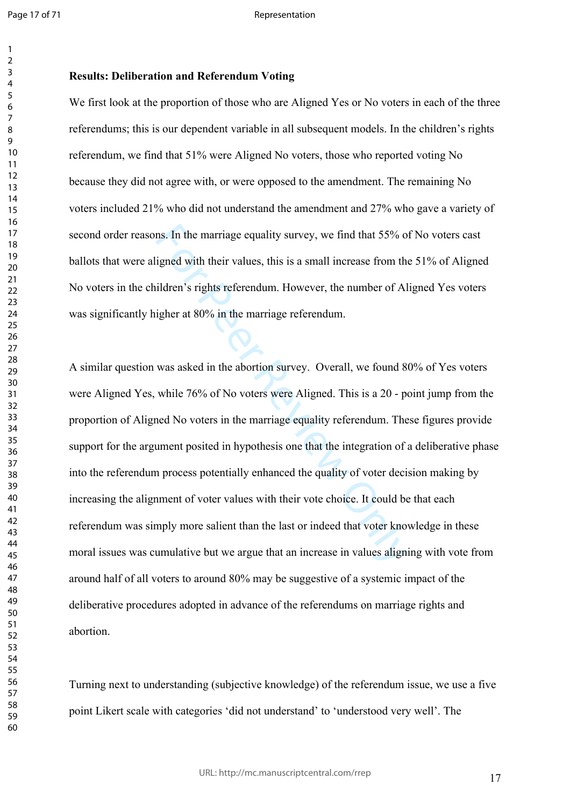$\mathbf{1}$  $\overline{2}$ 

#### Representation

### **Results: Deliberation and Referendum Voting**

We first look at the proportion of those who are Aligned Yes or No voters in each of the three referendums; this is our dependent variable in all subsequent models. In the children's rights referendum, we find that 51% were Aligned No voters, those who reported voting No because they did not agree with, or were opposed to the amendment. The remaining No voters included 21% who did not understand the amendment and 27% who gave a variety of second order reasons. In the marriage equality survey, we find that 55% of No voters cast ballots that were aligned with their values, this is a small increase from the 51% of Aligned No voters in the children's rights referendum. However, the number of Aligned Yes voters was significantly higher at 80% in the marriage referendum.

ns. In the marriage equality survey, we find that 55% of igned with their values, this is a small increase from the ildren's rights referendum. However, the number of Aligher at 80% in the marriage referendum.<br>
was asked i A similar question was asked in the abortion survey. Overall, we found 80% of Yes voters were Aligned Yes, while 76% of No voters were Aligned. This is a 20 - point jump from the proportion of Aligned No voters in the marriage equality referendum. These figures provide support for the argument posited in hypothesis one that the integration of a deliberative phase into the referendum process potentially enhanced the quality of voter decision making by increasing the alignment of voter values with their vote choice. It could be that each referendum was simply more salient than the last or indeed that voter knowledge in these moral issues was cumulative but we argue that an increase in values aligning with vote from around half of all voters to around 80% may be suggestive of a systemic impact of the deliberative procedures adopted in advance of the referendums on marriage rights and abortion.

Turning next to understanding (subjective knowledge) of the referendum issue, we use a five point Likert scale with categories 'did not understand' to 'understood very well'. The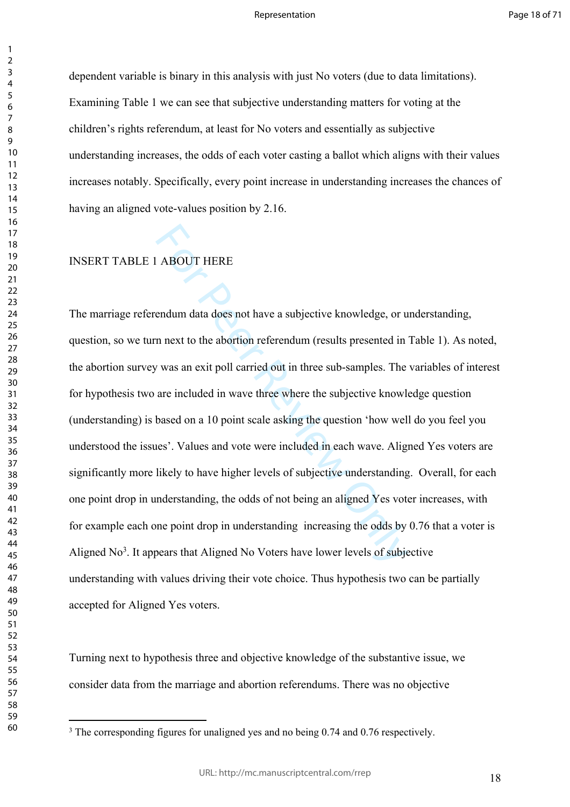dependent variable is binary in this analysis with just No voters (due to data limitations). Examining Table 1 we can see that subjective understanding matters for voting at the children's rights referendum, at least for No voters and essentially as subjective understanding increases, the odds of each voter casting a ballot which aligns with their values increases notably. Specifically, every point increase in understanding increases the chances of having an aligned vote-values position by 2.16.

### INSERT TABLE 1 ABOUT HERE

ABOUT HERE<br>
endum data does not have a subjective knowledge, or u<br>
n next to the abortion referendum (results presented in<br>
v was an exit poll carried out in three sub-samples. The<br>
are included in wave three where the sub The marriage referendum data does not have a subjective knowledge, or understanding, question, so we turn next to the abortion referendum (results presented in Table 1). As noted, the abortion survey was an exit poll carried out in three sub-samples. The variables of interest for hypothesis two are included in wave three where the subjective knowledge question (understanding) is based on a 10 point scale asking the question 'how well do you feel you understood the issues'. Values and vote were included in each wave. Aligned Yes voters are significantly more likely to have higher levels of subjective understanding. Overall, for each one point drop in understanding, the odds of not being an aligned Yes voter increases, with for example each one point drop in understanding increasing the odds by 0.76 that a voter is Aligned No<sup>3</sup>. It appears that Aligned No Voters have lower levels of subjective understanding with values driving their vote choice. Thus hypothesis two can be partially accepted for Aligned Yes voters.

Turning next to hypothesis three and objective knowledge of the substantive issue, we consider data from the marriage and abortion referendums. There was no objective

 $\mathbf{1}$  $\overline{2}$  $\overline{3}$  $\overline{4}$  $\overline{7}$ 

<sup>&</sup>lt;sup>3</sup> The corresponding figures for unaligned yes and no being 0.74 and 0.76 respectively.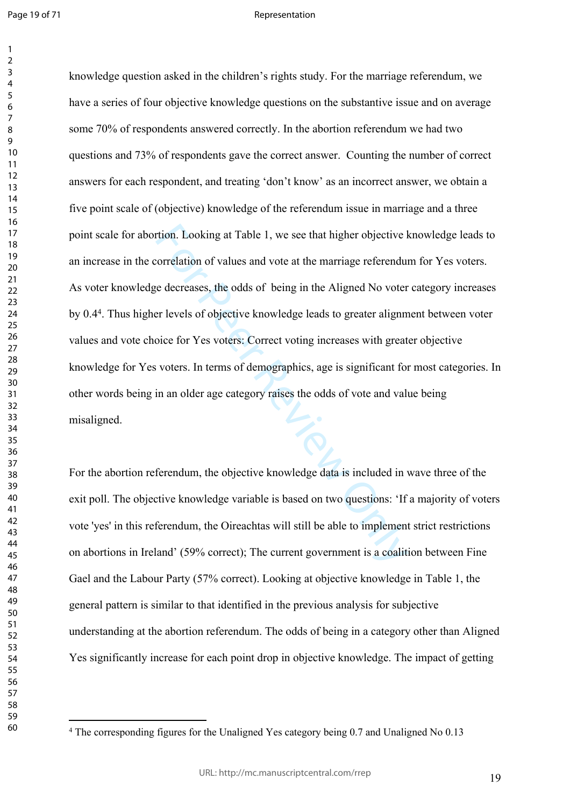$\mathbf{1}$  $\overline{2}$ 

#### Representation

rtion. Looking at Table 1, we see that higher objective l<br>correlation of values and vote at the marriage referendure<br>decreases, the odds of being in the Aligned No voter<br>pr levels of objective knowledge leads to greater al knowledge question asked in the children's rights study. For the marriage referendum, we have a series of four objective knowledge questions on the substantive issue and on average some 70% of respondents answered correctly. In the abortion referendum we had two questions and 73% of respondents gave the correct answer. Counting the number of correct answers for each respondent, and treating 'don't know' as an incorrect answer, we obtain a five point scale of (objective) knowledge of the referendum issue in marriage and a three point scale for abortion. Looking at Table 1, we see that higher objective knowledge leads to an increase in the correlation of values and vote at the marriage referendum for Yes voters. As voter knowledge decreases, the odds of being in the Aligned No voter category increases by 0.4 4 . Thus higher levels of objective knowledge leads to greater alignment between voter values and vote choice for Yes voters: Correct voting increases with greater objective knowledge for Yes voters. In terms of demographics, age is significant for most categories. In other words being in an older age category raises the odds of vote and value being misaligned.

For the abortion referendum, the objective knowledge data is included in wave three of the exit poll. The objective knowledge variable is based on two questions: 'If a majority of voters vote 'yes' in this referendum, the Oireachtas will still be able to implement strict restrictions on abortions in Ireland' (59% correct); The current government is a coalition between Fine Gael and the Labour Party (57% correct). Looking at objective knowledge in Table 1, the general pattern is similar to that identified in the previous analysis for subjective understanding at the abortion referendum. The odds of being in a category other than Aligned Yes significantly increase for each point drop in objective knowledge. The impact of getting

<sup>&</sup>lt;sup>4</sup> The corresponding figures for the Unaligned Yes category being 0.7 and Unaligned No 0.13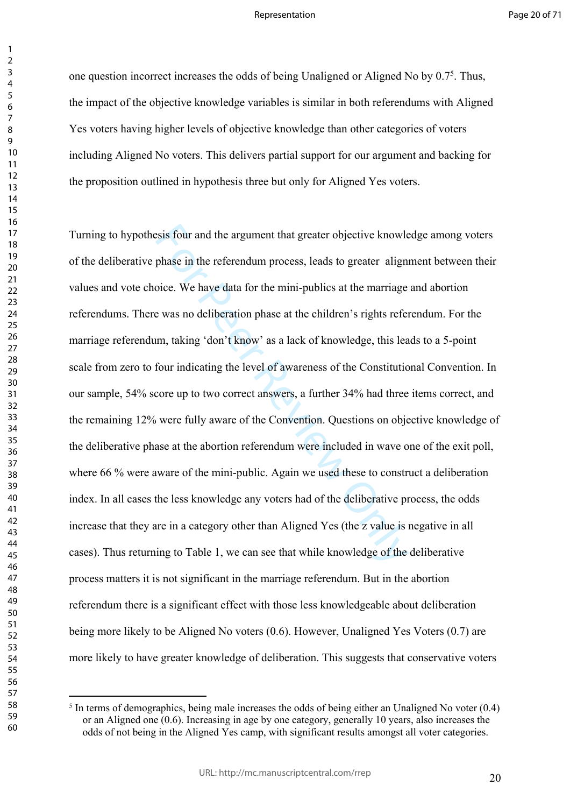one question incorrect increases the odds of being Unaligned or Aligned No by 0.7 5 . Thus, the impact of the objective knowledge variables is similar in both referendums with Aligned Yes voters having higher levels of objective knowledge than other categories of voters including Aligned No voters. This delivers partial support for our argument and backing for the proposition outlined in hypothesis three but only for Aligned Yes voters.

 $\mathbf{1}$  $\overline{2}$  $\overline{3}$  $\overline{4}$  $\overline{7}$ 

best is four and the argument that greater objective knowle<br>phase in the referendum process, leads to greater align<br>pice. We have data for the mini-publics at the marriage<br>e was no deliberation phase at the children's righ Turning to hypothesis four and the argument that greater objective knowledge among voters of the deliberative phase in the referendum process, leads to greater alignment between their values and vote choice. We have data for the mini-publics at the marriage and abortion referendums. There was no deliberation phase at the children's rights referendum. For the marriage referendum, taking 'don't know' as a lack of knowledge, this leads to a 5-point scale from zero to four indicating the level of awareness of the Constitutional Convention. In our sample, 54% score up to two correct answers, a further 34% had three items correct, and the remaining 12% were fully aware of the Convention. Questions on objective knowledge of the deliberative phase at the abortion referendum were included in wave one of the exit poll, where 66 % were aware of the mini-public. Again we used these to construct a deliberation index. In all cases the less knowledge any voters had of the deliberative process, the odds increase that they are in a category other than Aligned Yes (the z value is negative in all cases). Thus returning to Table 1, we can see that while knowledge of the deliberative process matters it is not significant in the marriage referendum. But in the abortion referendum there is a significant effect with those less knowledgeable about deliberation being more likely to be Aligned No voters (0.6). However, Unaligned Yes Voters (0.7) are more likely to have greater knowledge of deliberation. This suggests that conservative voters

<sup>&</sup>lt;sup>5</sup> In terms of demographics, being male increases the odds of being either an Unaligned No voter (0.4) or an Aligned one (0.6). Increasing in age by one category, generally 10 years, also increases the odds of not being in the Aligned Yes camp, with significant results amongst all voter categories.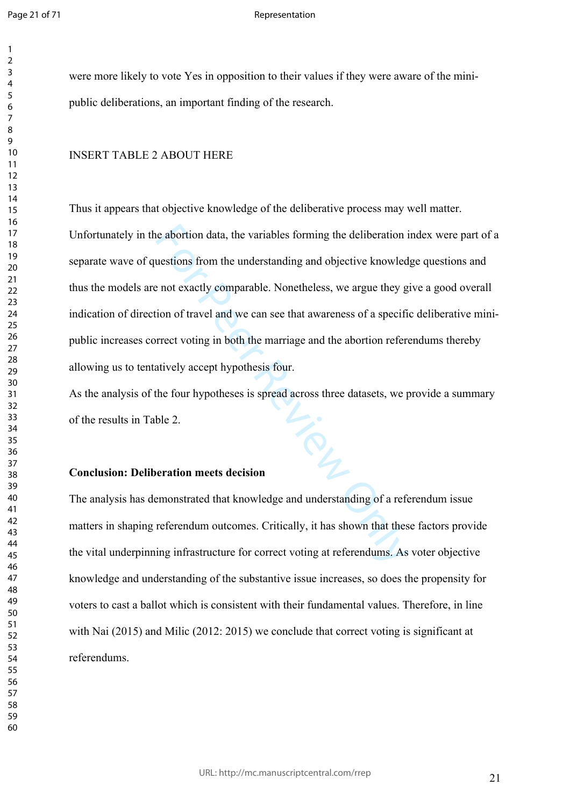$\mathbf{1}$  $\overline{2}$  $\overline{3}$  $\overline{4}$ 

#### Representation

were more likely to vote Yes in opposition to their values if they were aware of the minipublic deliberations, an important finding of the research.

### INSERT TABLE 2 ABOUT HERE

exercise abortion data, the variables forming the deliberation in ustions from the understanding and objective knowled<br>that the understanding and objective knowled<br>that the understanding and display the parameter of a spec Thus it appears that objective knowledge of the deliberative process may well matter. Unfortunately in the abortion data, the variables forming the deliberation index were part of a separate wave of questions from the understanding and objective knowledge questions and thus the models are not exactly comparable. Nonetheless, we argue they give a good overall indication of direction of travel and we can see that awareness of a specific deliberative minipublic increases correct voting in both the marriage and the abortion referendums thereby allowing us to tentatively accept hypothesis four.

As the analysis of the four hypotheses is spread across three datasets, we provide a summary of the results in Table 2.

### **Conclusion: Deliberation meets decision**

The analysis has demonstrated that knowledge and understanding of a referendum issue matters in shaping referendum outcomes. Critically, it has shown that these factors provide the vital underpinning infrastructure for correct voting at referendums. As voter objective knowledge and understanding of the substantive issue increases, so does the propensity for voters to cast a ballot which is consistent with their fundamental values. Therefore, in line with Nai (2015) and Milic (2012: 2015) we conclude that correct voting is significant at referendums.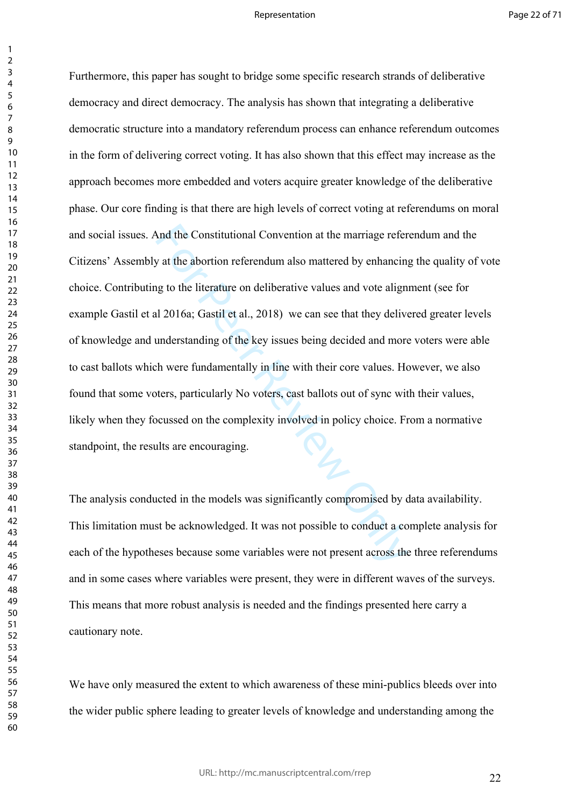$\mathbf{1}$ 

And the Constitutional Convention at the marriage refer<br>v at the abortion referendum also mattered by enhancing<br>a to the literature on deliberative values and vote align<br>is al 2016a; Gastil et al., 2018) we can see that th Furthermore, this paper has sought to bridge some specific research strands of deliberative democracy and direct democracy. The analysis has shown that integrating a deliberative democratic structure into a mandatory referendum process can enhance referendum outcomes in the form of delivering correct voting. It has also shown that this effect may increase as the approach becomes more embedded and voters acquire greater knowledge of the deliberative phase. Our core finding is that there are high levels of correct voting at referendums on moral and social issues. And the Constitutional Convention at the marriage referendum and the Citizens' Assembly at the abortion referendum also mattered by enhancing the quality of vote choice. Contributing to the literature on deliberative values and vote alignment (see for example Gastil et al 2016a; Gastil et al., 2018) we can see that they delivered greater levels of knowledge and understanding of the key issues being decided and more voters were able to cast ballots which were fundamentally in line with their core values. However, we also found that some voters, particularly No voters, cast ballots out of sync with their values, likely when they focussed on the complexity involved in policy choice. From a normative standpoint, the results are encouraging.

The analysis conducted in the models was significantly compromised by data availability. This limitation must be acknowledged. It was not possible to conduct a complete analysis for each of the hypotheses because some variables were not present across the three referendums and in some cases where variables were present, they were in different waves of the surveys. This means that more robust analysis is needed and the findings presented here carry a cautionary note.

We have only measured the extent to which awareness of these mini-publics bleeds over into the wider public sphere leading to greater levels of knowledge and understanding among the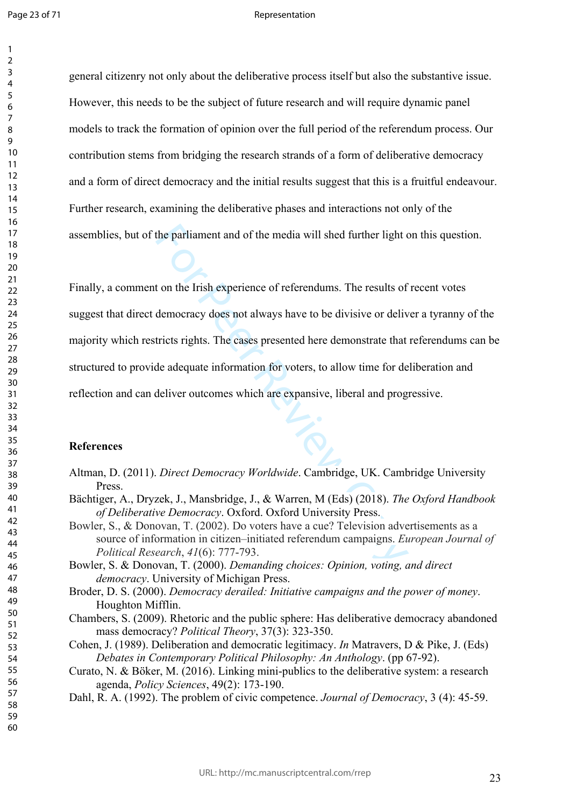$\mathbf{1}$  $\overline{2}$ 

#### Representation

general citizenry not only about the deliberative process itself but also the substantive issue. However, this needs to be the subject of future research and will require dynamic panel models to track the formation of opinion over the full period of the referendum process. Our contribution stems from bridging the research strands of a form of deliberative democracy and a form of direct democracy and the initial results suggest that this is a fruitful endeavour. Further research, examining the deliberative phases and interactions not only of the assemblies, but of the parliament and of the media will shed further light on this question.

the parliament and of the media will shed further light c<br>
t on the Irish experience of referendums. The results of<br>
democracy does not always have to be divisive or deliv<br>
tricts rights. The cases presented here demonstra Finally, a comment on the Irish experience of referendums. The results of recent votes suggest that direct democracy does not always have to be divisive or deliver a tyranny of the majority which restricts rights. The cases presented here demonstrate that referendums can be structured to provide adequate information for voters, to allow time for deliberation and reflection and can deliver outcomes which are expansive, liberal and progressive.

### **References**

- Altman, D. (2011). *Direct Democracy Worldwide*. Cambridge, UK. Cambridge University Press.
- Bächtiger, A., Dryzek, J., Mansbridge, J., & Warren, M (Eds) (2018). *The Oxford Handbook of Deliberative Democracy*. Oxford. Oxford University Press.
- Bowler, S., & Donovan, T. (2002). Do voters have a cue? Television advertisements as a source of information in citizen–initiated referendum campaigns. *European Journal of Political Research*, *41*(6): 777-793.
- Bowler, S. & Donovan, T. (2000). *Demanding choices: Opinion, voting, and direct democracy*. University of Michigan Press.
- Broder, D. S. (2000). *Democracy derailed: Initiative campaigns and the power of money*. Houghton Mifflin.
- Chambers, S. (2009). Rhetoric and the public sphere: Has deliberative democracy abandoned mass democracy? *Political Theory*, 37(3): 323-350.
- Cohen, J. (1989). Deliberation and democratic legitimacy. *In* Matravers, D & Pike, J. (Eds) *Debates in Contemporary Political Philosophy: An Anthology*. (pp 67-92).
- Curato, N. & Böker, M. (2016). Linking mini-publics to the deliberative system: a research agenda, *Policy Sciences*, 49(2): 173-190.
- Dahl, R. A. (1992). The problem of civic competence. *Journal of Democracy*, 3 (4): 45-59.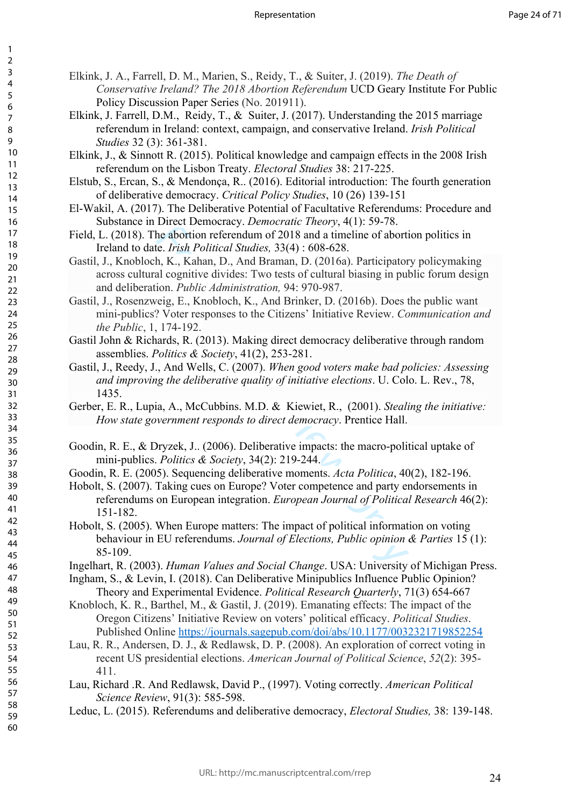- Elkink, J. A., Farrell, D. M., Marien, S., Reidy, T., & Suiter, J. (2019). *The Death of Conservative Ireland? The 2018 Abortion Referendum* UCD Geary Institute For Public Policy Discussion Paper Series (No. 201911).
- Elkink, J. Farrell, D.M., Reidy, T., & Suiter, J. (2017). Understanding the 2015 marriage referendum in Ireland: context, campaign, and conservative Ireland. *Irish Political Studies* 32 (3): 361-381.
- Elkink, J., & Sinnott R. (2015). Political knowledge and campaign effects in the 2008 Irish referendum on the Lisbon Treaty. *Electoral Studies* 38: 217-225.
- Elstub, S., Ercan, S., & Mendonça, R.. (2016). Editorial introduction: The fourth generation of deliberative democracy. *Critical Policy Studies*, 10 (26) 139-151
- El-Wakil, A. (2017). The Deliberative Potential of Facultative Referendums: Procedure and Substance in Direct Democracy. *Democratic Theory*, 4(1): 59-78.
- Field, L. (2018). The abortion referendum of 2018 and a timeline of abortion politics in Ireland to date. *Irish Political Studies,* 33(4) : 608-628.
- Gastil, J., Knobloch, K., Kahan, D., And Braman, D. (2016a). Participatory policymaking across cultural cognitive divides: Two tests of cultural biasing in public forum design and deliberation. *Public Administration,* 94: 970-987.
- Gastil, J., Rosenzweig, E., Knobloch, K., And Brinker, D. (2016b). Does the public want mini-publics? Voter responses to the Citizens' Initiative Review. *Communication and the Public*, 1, 174-192.
- Gastil John & Richards, R. (2013). Making direct democracy deliberative through random assemblies. *Politics & Society*, 41(2), 253-281.
- Gastil, J., Reedy, J., And Wells, C. (2007). *When good voters make bad policies: Assessing and improving the deliberative quality of initiative elections*. U. Colo. L. Rev., 78, 1435.
- Gerber, E. R., Lupia, A., McCubbins. M.D. & Kiewiet, R., (2001). *Stealing the initiative: How state government responds to direct democracy*. Prentice Hall.
- Goodin, R. E., & Dryzek, J.. (2006). Deliberative impacts: the macro-political uptake of mini-publics. *Politics & Society*, 34(2): 219-244.
- Goodin, R. E. (2005). Sequencing deliberative moments. *Acta Politica*, 40(2), 182-196.
- Exercision of 2018 and a timeline of about<br>the abortion referendum of 2018 and a timeline of abort<br>te. *Irish Political Studies*, 33(4) : 608-628.<br>A, K., Kahan, D., And Braman, D. (2016a). Participator<br>al cognitive divide Hobolt, S. (2007). Taking cues on Europe? Voter competence and party endorsements in referendums on European integration. *European Journal of Political Research* 46(2): 151-182.
- Hobolt, S. (2005). When Europe matters: The impact of political information on voting behaviour in EU referendums. *Journal of Elections, Public opinion & Parties* 15 (1): 85-109.
- Ingelhart, R. (2003). *Human Values and Social Change*. USA: University of Michigan Press.
- Ingham, S., & Levin, I. (2018). Can Deliberative Minipublics Influence Public Opinion? Theory and Experimental Evidence. *Political Research Quarterly*, 71(3) 654-667
- Knobloch, K. R., Barthel, M., & Gastil, J. (2019). Emanating effects: The impact of the Oregon Citizens' Initiative Review on voters' political efficacy. *Political Studies*. Published Online<https://journals.sagepub.com/doi/abs/10.1177/0032321719852254>
- Lau, R. R., Andersen, D. J., & Redlawsk, D. P. (2008). An exploration of correct voting in recent US presidential elections. *American Journal of Political Science*, *52*(2): 395- 411.
- Lau, Richard .R. And Redlawsk, David P., (1997). Voting correctly. *American Political Science Review*, 91(3): 585-598.
- Leduc, L. (2015). Referendums and deliberative democracy, *Electoral Studies,* 38: 139-148.

123456789

 $\mathbf{1}$  $\overline{2}$  $\overline{3}$  $\overline{4}$ 5 6  $\overline{7}$ 8 9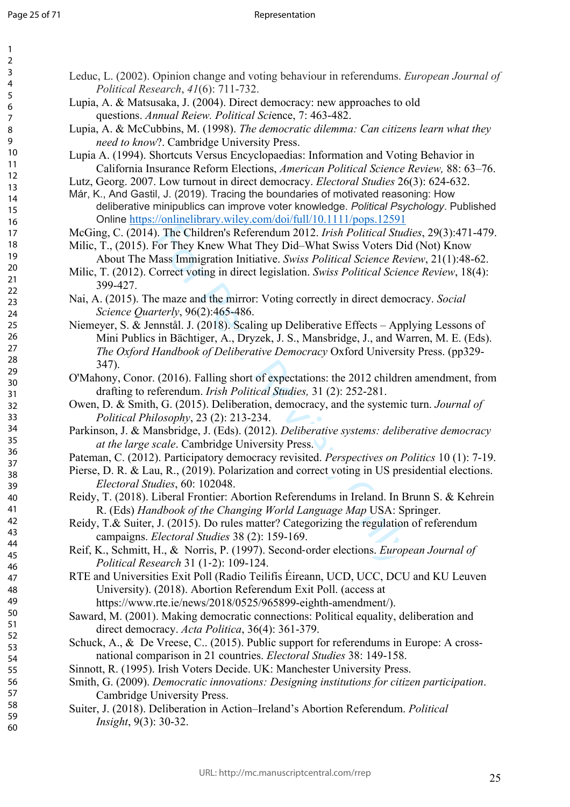| 1                            |  |
|------------------------------|--|
| 2                            |  |
| 3                            |  |
| 4                            |  |
| 5                            |  |
|                              |  |
| 6                            |  |
|                              |  |
| 8                            |  |
| 9                            |  |
| 10                           |  |
| $\mathbf{1}$<br>1            |  |
|                              |  |
| 1<br>$\overline{c}$          |  |
| 13                           |  |
| 4<br>1                       |  |
| 15                           |  |
| 16                           |  |
| 1                            |  |
| 1<br>8                       |  |
|                              |  |
| 19                           |  |
| 20                           |  |
| $\overline{21}$              |  |
| $\overline{2}$<br>2          |  |
| 23                           |  |
| $\frac{24}{5}$               |  |
| 25                           |  |
|                              |  |
| 26                           |  |
| $\overline{2}$               |  |
| 28                           |  |
| 29                           |  |
| 30                           |  |
| $\overline{31}$              |  |
|                              |  |
| 3<br>2                       |  |
| $\overline{\mathbf{3}}$<br>3 |  |
| 34                           |  |
| 35                           |  |
| 36                           |  |
| 37                           |  |
|                              |  |
| 38                           |  |
| 39                           |  |
| 40                           |  |
| 41                           |  |
| 42                           |  |
| 43                           |  |
| 44                           |  |
|                              |  |
| 45                           |  |
| 46                           |  |
| 47                           |  |
| 48                           |  |
| 49                           |  |
| 50                           |  |
|                              |  |
| 51                           |  |
| 52<br>,                      |  |
| 53                           |  |
| 54                           |  |
| 55                           |  |
|                              |  |
| 56                           |  |
| 57                           |  |
| 58                           |  |
| 59<br>€                      |  |

60

Leduc, L. (2002). Opinion change and voting behaviour in referendums. *European Journal of Political Research*, *41*(6): 711-732.

- Lupia, A. & Matsusaka, J. (2004). Direct democracy: new approaches to old questions. *Annual Reiew. Political Sci*ence, 7: 463-482.
- Lupia, A. & McCubbins, M. (1998). *The democratic dilemma: Can citizens learn what they need to know*?. Cambridge University Press.
- Lupia A. (1994). Shortcuts Versus Encyclopaedias: Information and Voting Behavior in California Insurance Reform Elections, *American Political Science Review,* 88: 63–76.
- Lutz, Georg. 2007. Low turnout in direct democracy. *Electoral Studies* 26(3): 624-632.
- Már, K., And Gastil, J. (2019). Tracing the boundaries of motivated reasoning: How deliberative minipublics can improve voter knowledge. *Political Psychology*. Published Online <https://onlinelibrary.wiley.com/doi/full/10.1111/pops.12591>
- McGing, C. (2014). The Children's Referendum 2012. *Irish Political Studies*, 29(3):471-479.
- Milic, T., (2015). For They Knew What They Did–What Swiss Voters Did (Not) Know About The Mass Immigration Initiative. *Swiss Political Science Review*, 21(1):48-62.
- Milic, T. (2012). Correct voting in direct legislation. *Swiss Political Science Review*, 18(4): 399-427.
- Nai, A. (2015). The maze and the mirror: Voting correctly in direct democracy. *Social Science Quarterly*, 96(2):465-486.
- 1. The Children's Referendum 2012. *Irish Political Stud*<br>
For They Knew What They Did-What Swiss Voters Dideas Immigration Initiative. *Swiss Political Science Rev*<br>
orrect voting in direct legislation. *Swiss Political* Niemeyer, S. & Jennstål. J. (2018). Scaling up Deliberative Effects – Applying Lessons of Mini Publics in Bächtiger, A., Dryzek, J. S., Mansbridge, J., and Warren, M. E. (Eds). *The Oxford Handbook of Deliberative Democracy* Oxford University Press. (pp329- 347).
- O'Mahony, Conor. (2016). Falling short of expectations: the 2012 children amendment, from drafting to referendum. *Irish Political Studies,* 31 (2): 252-281.
- Owen, D. & Smith, G. (2015). Deliberation, democracy, and the systemic turn. *Journal of Political Philosophy*, 23 (2): 213-234.
- Parkinson, J. & Mansbridge, J. (Eds). (2012). *Deliberative systems: deliberative democracy at the large scale*. Cambridge University Press.
- Pateman, C. (2012). Participatory democracy revisited. *Perspectives on Politics* 10 (1): 7-19.
- Pierse, D. R. & Lau, R., (2019). Polarization and correct voting in US presidential elections. *Electoral Studies*, 60: 102048.
- Reidy, T. (2018). Liberal Frontier: Abortion Referendums in Ireland. In Brunn S. & Kehrein R. (Eds) *Handbook of the Changing World Language Map* USA: Springer.
- Reidy, T.& Suiter, J. (2015). Do rules matter? Categorizing the regulation of referendum campaigns. *Electoral Studies* 38 (2): 159-169.
- Reif, K., Schmitt, H., & Norris, P. (1997). Second ‐order elections. *European Journal of Political Research* 31 (1 ‐2): 109-124.
- RTE and Universities Exit Poll (Radio Teilifís Éireann, UCD, UCC, DCU and KU Leuven University). (2018). Abortion Referendum Exit Poll. (access at https://www.rte.ie/news/2018/0525/965899-eighth-amendment/).
- Saward, M. (2001). Making democratic connections: Political equality, deliberation and direct democracy. *Acta Politica*, 36(4): 361-379.
- Schuck, A., & De Vreese, C.. (2015). Public support for referendums in Europe: A crossnational comparison in 21 countries. *Electoral Studies* 38: 149-158.
- Sinnott, R. (1995). Irish Voters Decide. UK: Manchester University Press.
- Smith, G. (2009). *Democratic innovations: Designing institutions for citizen participation*. Cambridge University Press.
- Suiter, J. (2018). Deliberation in Action–Ireland's Abortion Referendum. *Political Insight*, 9(3): 30-32.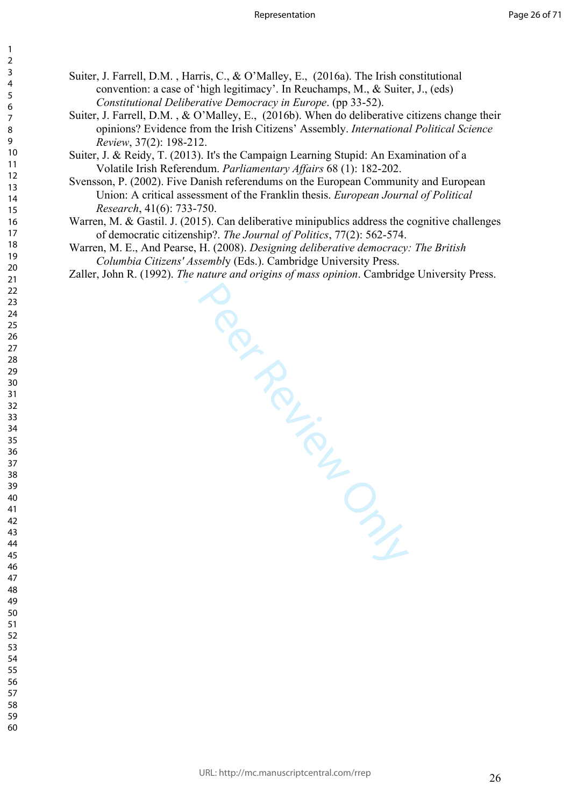Suiter, J. Farrell, D.M. , Harris, C., & O'Malley, E., (2016a). The Irish constitutional convention: a case of 'high legitimacy'. In Reuchamps, M., & Suiter, J., (eds) *Constitutional Deliberative Democracy in Europe*. (pp 33-52).

 $\mathbf{1}$  $\overline{2}$  $\overline{3}$  $\overline{4}$  $\overline{7}$ 

- Suiter, J. Farrell, D.M. , & O'Malley, E., (2016b). When do deliberative citizens change their opinions? Evidence from the Irish Citizens' Assembly. *International Political Science Review*, 37(2): 198-212.
- Suiter, J. & Reidy, T. (2013). It's the Campaign Learning Stupid: An Examination of a Volatile Irish Referendum. *Parliamentary Affairs* 68 (1): 182-202.
- Svensson, P. (2002). Five Danish referendums on the European Community and European Union: A critical assessment of the Franklin thesis. *European Journal of Political Research*, 41(6): 733-750.
- Warren, M. & Gastil. J. (2015). Can deliberative minipublics address the cognitive challenges of democratic citizenship?. *The Journal of Politics*, 77(2): 562-574.
- Warren, M. E., And Pearse, H. (2008). *Designing deliberative democracy: The British Columbia Citizens' Assembl*y (Eds.). Cambridge University Press.

Zaller, John R. (1992). *The nature and origins of mass opinion*. Cambridge University Press.

Per Review Only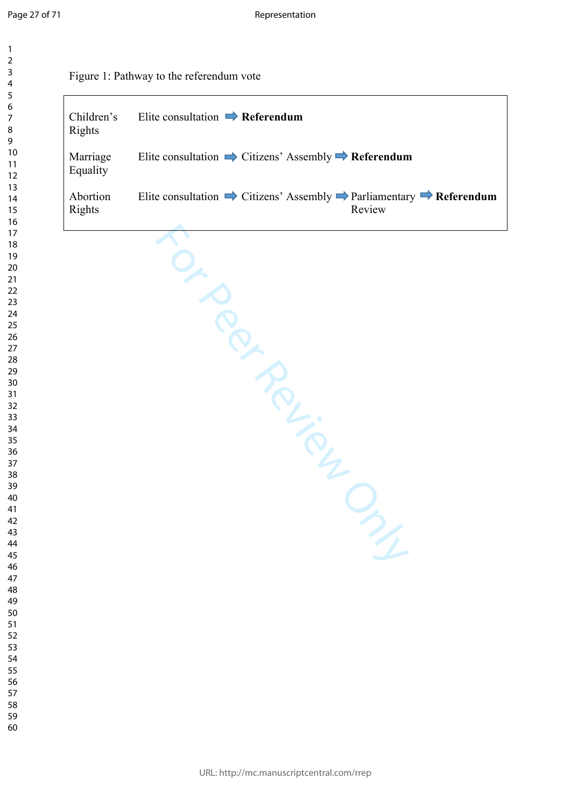$\mathbf{1}$  $\overline{2}$  $\overline{3}$  $\overline{4}$  $\overline{7}$  $\overline{9}$ 

## Figure 1: Pathway to the referendum vote

| Rights               | Elite consultation $\Rightarrow$ Citizens' Assembly $\Rightarrow$ Referendum                                       |
|----------------------|--------------------------------------------------------------------------------------------------------------------|
| Marriage<br>Equality |                                                                                                                    |
| Abortion<br>Rights   | Elite consultation $\Rightarrow$ Citizens' Assembly $\Rightarrow$ Parliamentary $\Rightarrow$ Referendum<br>Review |
|                      |                                                                                                                    |
|                      |                                                                                                                    |
|                      |                                                                                                                    |
|                      | $\frac{1}{L}$                                                                                                      |
|                      |                                                                                                                    |
|                      |                                                                                                                    |
|                      |                                                                                                                    |
|                      |                                                                                                                    |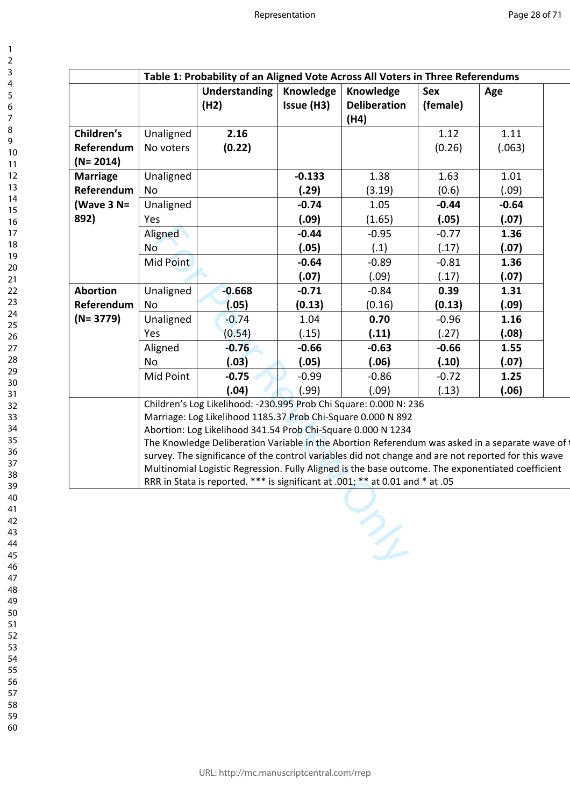|                                          | Table 1: Probability of an Aligned Vote Across All Voters in Three Referendums                                                                                                                                                                                                                                                                                                                                                                                                                                                |                              |                             |                                          |                             |                       |  |
|------------------------------------------|-------------------------------------------------------------------------------------------------------------------------------------------------------------------------------------------------------------------------------------------------------------------------------------------------------------------------------------------------------------------------------------------------------------------------------------------------------------------------------------------------------------------------------|------------------------------|-----------------------------|------------------------------------------|-----------------------------|-----------------------|--|
|                                          |                                                                                                                                                                                                                                                                                                                                                                                                                                                                                                                               | <b>Understanding</b><br>(H2) | Knowledge<br>Issue (H3)     | Knowledge<br><b>Deliberation</b><br>(H4) | <b>Sex</b><br>(female)      | Age                   |  |
| Children's<br>Referendum<br>$(N = 2014)$ | Unaligned<br>No voters                                                                                                                                                                                                                                                                                                                                                                                                                                                                                                        | 2.16<br>(0.22)               |                             |                                          | 1.12<br>(0.26)              | 1.11<br>(.063)        |  |
| <b>Marriage</b><br>Referendum            | Unaligned<br>No                                                                                                                                                                                                                                                                                                                                                                                                                                                                                                               |                              | $-0.133$<br>(.29)           | 1.38<br>(3.19)                           | 1.63<br>(0.6)               | 1.01<br>(.09)         |  |
| (Wave $3$ N=<br>892)                     | Unaligned<br>Yes                                                                                                                                                                                                                                                                                                                                                                                                                                                                                                              |                              | $-0.74$<br>(.09)            | 1.05<br>(1.65)                           | $-0.44$<br>(.05)            | $-0.64$<br>(.07)      |  |
|                                          | Aligned<br><b>No</b><br>Mid Point                                                                                                                                                                                                                                                                                                                                                                                                                                                                                             |                              | $-0.44$<br>(.05)<br>$-0.64$ | $-0.95$<br>(.1)<br>$-0.89$               | $-0.77$<br>(.17)<br>$-0.81$ | 1.36<br>(.07)<br>1.36 |  |
| <b>Abortion</b>                          | Unaligned                                                                                                                                                                                                                                                                                                                                                                                                                                                                                                                     | $-0.668$                     | (.07)<br>$-0.71$            | (.09)<br>$-0.84$                         | (.17)<br>0.39               | (.07)<br>1.31         |  |
| Referendum<br>$(N = 3779)$               | <b>No</b><br>Unaligned                                                                                                                                                                                                                                                                                                                                                                                                                                                                                                        | (.05)<br>$-0.74$             | (0.13)<br>1.04              | (0.16)<br>0.70                           | (0.13)<br>$-0.96$           | (.09)<br>1.16         |  |
|                                          | Yes<br>Aligned                                                                                                                                                                                                                                                                                                                                                                                                                                                                                                                | (0.54)<br>$-0.76$            | (.15)<br>$-0.66$            | (.11)<br>$-0.63$                         | (.27)<br>$-0.66$            | (.08)<br>1.55         |  |
|                                          | No<br>Mid Point                                                                                                                                                                                                                                                                                                                                                                                                                                                                                                               | (.03)<br>$-0.75$             | (.05)<br>$-0.99$            | (.06)<br>$-0.86$                         | (.10)<br>$-0.72$            | (.07)<br>1.25         |  |
|                                          | (.06)<br>(.04)<br>(.99)<br>(.09)<br>(.13)<br>Children's Log Likelihood: -230.995 Prob Chi Square: 0.000 N: 236                                                                                                                                                                                                                                                                                                                                                                                                                |                              |                             |                                          |                             |                       |  |
|                                          | Marriage: Log Likelihood 1185.37 Prob Chi-Square 0.000 N 892<br>Abortion: Log Likelihood 341.54 Prob Chi-Square 0.000 N 1234<br>The Knowledge Deliberation Variable in the Abortion Referendum was asked in a separate wave of t<br>survey. The significance of the control variables did not change and are not reported for this wave<br>Multinomial Logistic Regression. Fully Aligned is the base outcome. The exponentiated coefficient<br>RRR in Stata is reported. *** is significant at .001; ** at 0.01 and * at .05 |                              |                             |                                          |                             |                       |  |
|                                          |                                                                                                                                                                                                                                                                                                                                                                                                                                                                                                                               |                              |                             |                                          |                             |                       |  |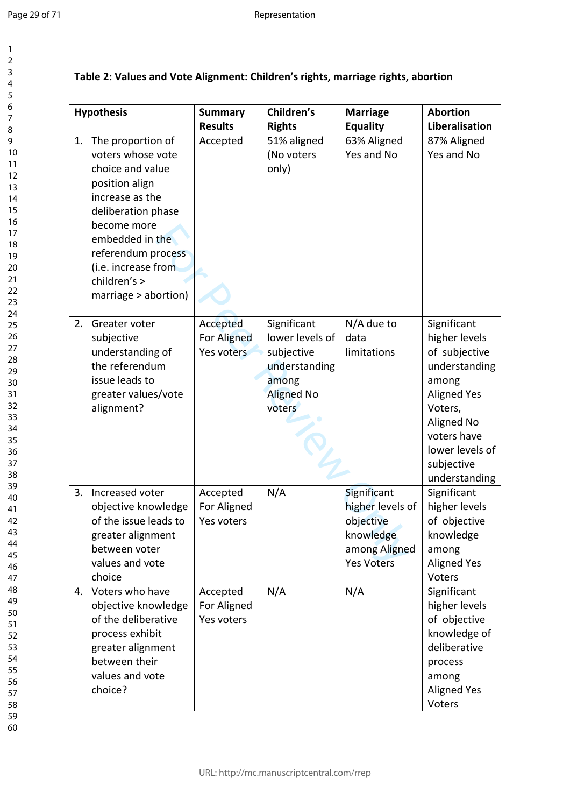123456789

 $\mathbf{1}$  $\overline{2}$  $\overline{3}$  $\overline{4}$ 5 6  $\overline{7}$ 8  $\overline{9}$ 

|    | <b>Hypothesis</b>                                                                                                                                                                                                                               | <b>Summary</b><br><b>Results</b>      | Children's<br><b>Rights</b>                                                                           | <b>Marriage</b><br><b>Equality</b>                                                              | <b>Abortion</b><br>Liberalisation                                                                                                                                                       |
|----|-------------------------------------------------------------------------------------------------------------------------------------------------------------------------------------------------------------------------------------------------|---------------------------------------|-------------------------------------------------------------------------------------------------------|-------------------------------------------------------------------------------------------------|-----------------------------------------------------------------------------------------------------------------------------------------------------------------------------------------|
|    | 1. The proportion of<br>voters whose vote<br>choice and value<br>position align<br>increase as the<br>deliberation phase<br>become more<br>embedded in the<br>referendum process<br>(i.e. increase from<br>children's ><br>marriage > abortion) | Accepted                              | 51% aligned<br>(No voters<br>only)                                                                    | 63% Aligned<br>Yes and No                                                                       | 87% Aligned<br>Yes and No                                                                                                                                                               |
| 2. | Greater voter<br>subjective<br>understanding of<br>the referendum<br>issue leads to<br>greater values/vote<br>alignment?                                                                                                                        | Accepted<br>For Aligned<br>Yes voters | Significant<br>lower levels of<br>subjective<br>understanding<br>among<br><b>Aligned No</b><br>voters | N/A due to<br>data<br>limitations                                                               | Significant<br>higher levels<br>of subjective<br>understanding<br>among<br><b>Aligned Yes</b><br>Voters,<br>Aligned No<br>voters have<br>lower levels of<br>subjective<br>understanding |
| 3  | Increased voter<br>objective knowledge<br>of the issue leads to<br>greater alignment<br>between voter<br>values and vote<br>choice                                                                                                              | Accepted<br>For Aligned<br>Yes voters | N/A                                                                                                   | Significant<br>higher levels of<br>objective<br>knowledge<br>among Aligned<br><b>Yes Voters</b> | Significant<br>higher levels<br>of objective<br>knowledge<br>among<br><b>Aligned Yes</b><br>Voters                                                                                      |
|    | 4. Voters who have<br>objective knowledge<br>of the deliberative<br>process exhibit<br>greater alignment<br>between their<br>values and vote<br>choice?                                                                                         | Accepted<br>For Aligned<br>Yes voters | N/A                                                                                                   | N/A                                                                                             | Significant<br>higher levels<br>of objective<br>knowledge of<br>deliberative<br>process<br>among<br><b>Aligned Yes</b><br>Voters                                                        |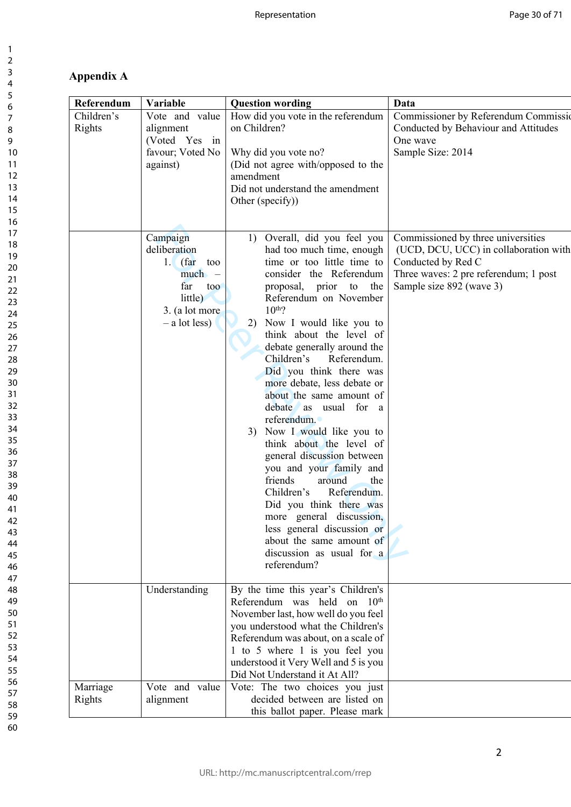# **Appendix A**

| Referendum           | Variable                                                                                                                | <b>Question wording</b>                                                                                                                                                                                                                                                                                                                                                                                                                                                                                                                                                                                                                                                                                                                                                            | Data                                                                                                                                                                   |
|----------------------|-------------------------------------------------------------------------------------------------------------------------|------------------------------------------------------------------------------------------------------------------------------------------------------------------------------------------------------------------------------------------------------------------------------------------------------------------------------------------------------------------------------------------------------------------------------------------------------------------------------------------------------------------------------------------------------------------------------------------------------------------------------------------------------------------------------------------------------------------------------------------------------------------------------------|------------------------------------------------------------------------------------------------------------------------------------------------------------------------|
| Children's<br>Rights | Vote and value<br>alignment<br>(Voted Yes in<br>favour; Voted No<br>against)                                            | How did you vote in the referendum<br>on Children?<br>Why did you vote no?<br>(Did not agree with/opposed to the<br>amendment<br>Did not understand the amendment<br>Other (specify))                                                                                                                                                                                                                                                                                                                                                                                                                                                                                                                                                                                              | Commissioner by Referendum Commissio<br>Conducted by Behaviour and Attitudes<br>One wave<br>Sample Size: 2014                                                          |
|                      | Campaign<br>deliberation<br>1. $(far)$<br>too<br>$much$ –<br>far<br>too<br>little)<br>3. (a lot more<br>$-$ a lot less) | Overall, did you feel you<br>1)<br>had too much time, enough<br>time or too little time to<br>consider the Referendum<br>proposal, prior to the<br>Referendum on November<br>$10th$ ?<br>2) Now I would like you to<br>think about the level of<br>debate generally around the<br>Children's<br>Referendum.<br>Did you think there was<br>more debate, less debate or<br>about the same amount of<br>debate as usual for a<br>referendum.<br>3) Now I would like you to<br>think about the level of<br>general discussion between<br>you and your family and<br>friends<br>around<br>the<br>Children's<br>Referendum.<br>Did you think there was<br>more general discussion,<br>less general discussion or<br>about the same amount of<br>discussion as usual for a<br>referendum? | Commissioned by three universities<br>(UCD, DCU, UCC) in collaboration with<br>Conducted by Red C<br>Three waves: 2 pre referendum; 1 post<br>Sample size 892 (wave 3) |
|                      | Understanding                                                                                                           | By the time this year's Children's<br>Referendum was held on 10 <sup>th</sup><br>November last, how well do you feel<br>you understood what the Children's<br>Referendum was about, on a scale of<br>1 to 5 where 1 is you feel you<br>understood it Very Well and 5 is you<br>Did Not Understand it At All?                                                                                                                                                                                                                                                                                                                                                                                                                                                                       |                                                                                                                                                                        |
| Marriage<br>Rights   | Vote and value<br>alignment                                                                                             | Vote: The two choices you just<br>decided between are listed on<br>this ballot paper. Please mark                                                                                                                                                                                                                                                                                                                                                                                                                                                                                                                                                                                                                                                                                  |                                                                                                                                                                        |

 $\mathbf{1}$  $\overline{2}$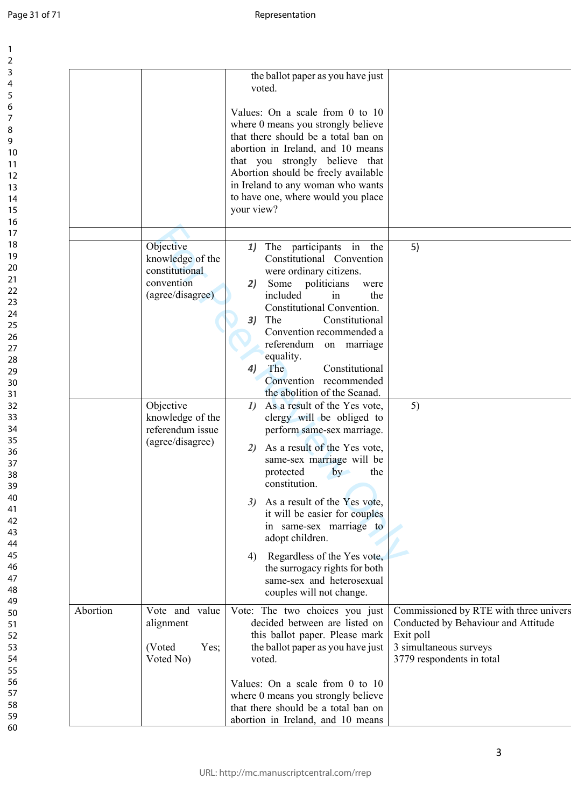| 1                                         |  |
|-------------------------------------------|--|
| 2                                         |  |
| 3                                         |  |
| 4                                         |  |
| 5                                         |  |
|                                           |  |
| 6                                         |  |
|                                           |  |
| 8                                         |  |
| 9                                         |  |
| 10                                        |  |
| 1<br>$\mathbf{1}$                         |  |
| 1<br>$\overline{c}$                       |  |
|                                           |  |
| 13                                        |  |
| 1<br>4                                    |  |
| 15                                        |  |
| 16                                        |  |
| 1                                         |  |
| 18                                        |  |
| 19                                        |  |
|                                           |  |
| 20                                        |  |
| $\overline{21}$                           |  |
| $\overline{2}$<br>$\overline{2}$          |  |
| $^{23}$                                   |  |
| $\overline{24}$                           |  |
| 25                                        |  |
|                                           |  |
| 26                                        |  |
| 27                                        |  |
| 28                                        |  |
| 29                                        |  |
| 30                                        |  |
| $\overline{\textbf{3}}$                   |  |
| $\overline{\mathbf{3}}$<br>$\overline{2}$ |  |
|                                           |  |
| $\overline{\mathbf{3}}$<br>3              |  |
| 34                                        |  |
| 35                                        |  |
| 36                                        |  |
| 37                                        |  |
| 88                                        |  |
|                                           |  |
| 39                                        |  |
| 40                                        |  |
| 41                                        |  |
| $\overline{4}$<br>,                       |  |
| ξ<br>4.                                   |  |
| 44                                        |  |
| 45                                        |  |
|                                           |  |
| 46                                        |  |
| $\overline{4}$                            |  |
| 48                                        |  |
| 49                                        |  |
| 50                                        |  |
| 51                                        |  |
| 5.<br>2                                   |  |
|                                           |  |
| 5.<br>ξ                                   |  |
| 54                                        |  |
| 55                                        |  |
| 56                                        |  |
| 57                                        |  |
| 58                                        |  |
|                                           |  |
| 59<br>ر                                   |  |

|                                                        | your view?                                                                                                                                      | the ballot paper as you have just<br>voted.<br>Values: On a scale from 0 to 10<br>where 0 means you strongly believe<br>that there should be a total ban on<br>abortion in Ireland, and 10 means<br>that you strongly believe that<br>Abortion should be freely available<br>in Ireland to any woman who wants<br>to have one, where would you place                                                                                                                                                                                                                                                                        |                                                                                                                                                   |
|--------------------------------------------------------|-------------------------------------------------------------------------------------------------------------------------------------------------|-----------------------------------------------------------------------------------------------------------------------------------------------------------------------------------------------------------------------------------------------------------------------------------------------------------------------------------------------------------------------------------------------------------------------------------------------------------------------------------------------------------------------------------------------------------------------------------------------------------------------------|---------------------------------------------------------------------------------------------------------------------------------------------------|
| Objective<br>constitutional<br>convention<br>Objective | 1)<br>knowledge of the<br>2)<br>(agree/disagree)<br>3)<br>4)<br>$\mathcal{D}$<br>knowledge of the<br>referendum issue<br>(agree/disagree)<br>2) | The participants in the<br>Constitutional Convention<br>were ordinary citizens.<br>Some politicians<br>were<br>included<br>in<br>the<br>Constitutional Convention.<br>The<br>Constitutional<br>Convention recommended a<br>referendum<br>on marriage<br>equality.<br>Constitutional<br>The<br>Convention recommended<br>the abolition of the Seanad.<br>As a result of the Yes vote,<br>clergy will be obliged to<br>perform same-sex marriage.<br>As a result of the Yes vote,<br>same-sex marriage will be<br>the<br>protected<br>by<br>constitution.<br>3) As a result of the Yes vote,<br>it will be easier for couples | 5)<br>5)                                                                                                                                          |
|                                                        | 4)                                                                                                                                              | in same-sex marriage to<br>adopt children.<br>Regardless of the Yes vote,<br>the surrogacy rights for both<br>same-sex and heterosexual<br>couples will not change.                                                                                                                                                                                                                                                                                                                                                                                                                                                         |                                                                                                                                                   |
| Abortion<br>alignment<br>(Voted<br>Voted No)           | Vote and value<br>Yes;                                                                                                                          | Vote: The two choices you just<br>decided between are listed on<br>this ballot paper. Please mark<br>the ballot paper as you have just<br>voted.<br>Values: On a scale from 0 to 10<br>where 0 means you strongly believe                                                                                                                                                                                                                                                                                                                                                                                                   | Commissioned by RTE with three univers<br>Conducted by Behaviour and Attitude<br>Exit poll<br>3 simultaneous surveys<br>3779 respondents in total |
|                                                        |                                                                                                                                                 | that there should be a total ban on<br>abortion in Ireland, and 10 means                                                                                                                                                                                                                                                                                                                                                                                                                                                                                                                                                    |                                                                                                                                                   |